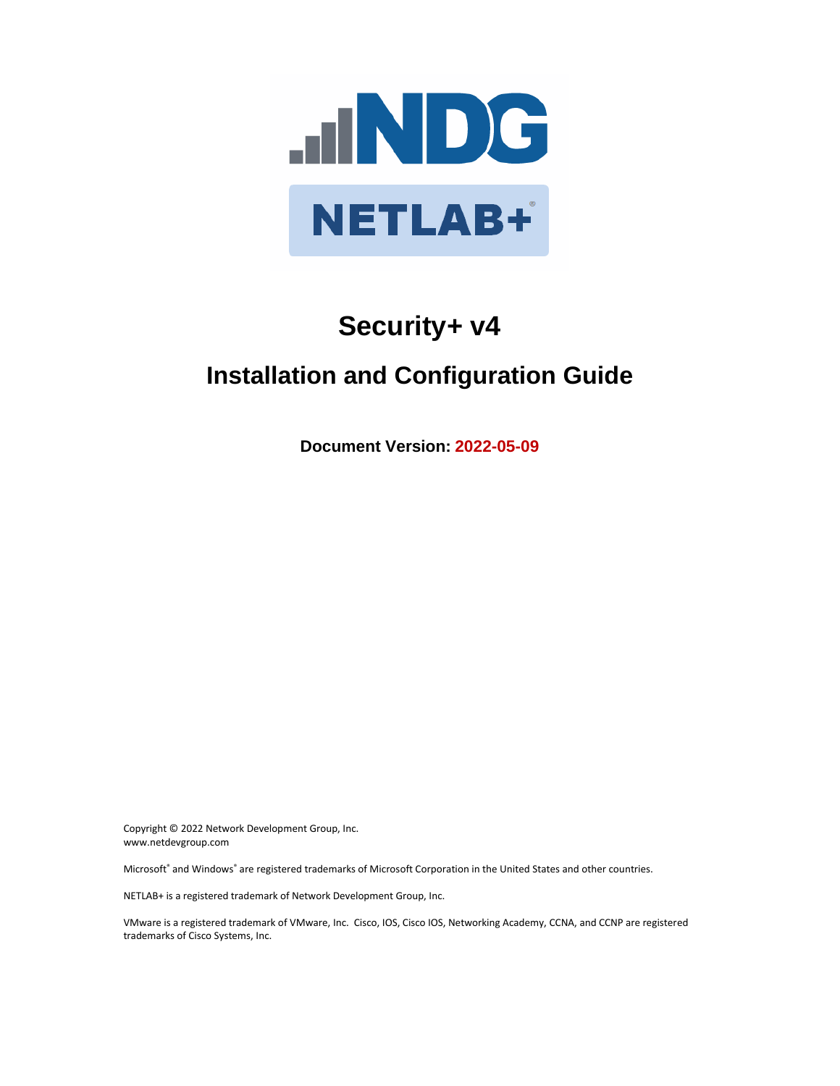

# **Security+ v4**

## **Installation and Configuration Guide**

**Document Version: 2022-05-09**

Copyright © 2022 Network Development Group, Inc. www.netdevgroup.com

Microsoft® and Windows® are registered trademarks of Microsoft Corporation in the United States and other countries.

NETLAB+ is a registered trademark of Network Development Group, Inc.

VMware is a registered trademark of VMware, Inc. Cisco, IOS, Cisco IOS, Networking Academy, CCNA, and CCNP are registered trademarks of Cisco Systems, Inc.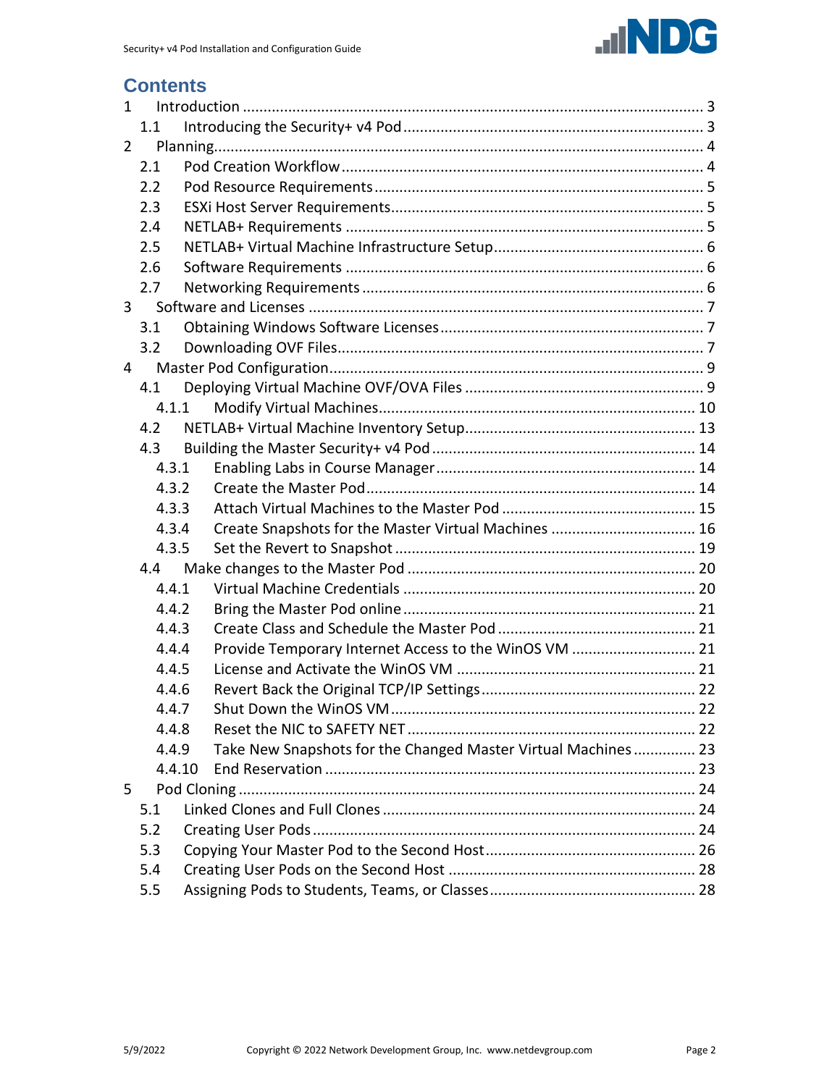

## **Contents**

| $\mathbf{1}$   |        |  |                                                               |  |
|----------------|--------|--|---------------------------------------------------------------|--|
|                | 1.1    |  |                                                               |  |
| $\overline{2}$ |        |  |                                                               |  |
|                | 2.1    |  |                                                               |  |
|                | 2.2    |  |                                                               |  |
|                | 2.3    |  |                                                               |  |
|                | 2.4    |  |                                                               |  |
|                | 2.5    |  |                                                               |  |
|                | 2.6    |  |                                                               |  |
|                | 2.7    |  |                                                               |  |
| 3              |        |  |                                                               |  |
|                | 3.1    |  |                                                               |  |
|                | 3.2    |  |                                                               |  |
| 4              |        |  |                                                               |  |
|                | 4.1    |  |                                                               |  |
|                | 4.1.1  |  |                                                               |  |
|                | 4.2    |  |                                                               |  |
|                | 4.3    |  |                                                               |  |
|                | 4.3.1  |  |                                                               |  |
|                | 4.3.2  |  |                                                               |  |
|                | 4.3.3  |  |                                                               |  |
|                | 4.3.4  |  | Create Snapshots for the Master Virtual Machines  16          |  |
|                | 4.3.5  |  |                                                               |  |
|                | 4.4    |  |                                                               |  |
|                | 4.4.1  |  |                                                               |  |
|                | 4.4.2  |  |                                                               |  |
|                | 4.4.3  |  |                                                               |  |
|                | 4.4.4  |  | Provide Temporary Internet Access to the WinOS VM  21         |  |
|                | 4.4.5  |  |                                                               |  |
|                | 4.4.6  |  |                                                               |  |
|                | 4.4.7  |  |                                                               |  |
|                | 4.4.8  |  |                                                               |  |
|                | 4.4.9  |  | Take New Snapshots for the Changed Master Virtual Machines 23 |  |
|                | 4.4.10 |  |                                                               |  |
| 5.             |        |  |                                                               |  |
|                | 5.1    |  |                                                               |  |
|                | 5.2    |  |                                                               |  |
|                | 5.3    |  |                                                               |  |
|                | 5.4    |  |                                                               |  |
|                | 5.5    |  |                                                               |  |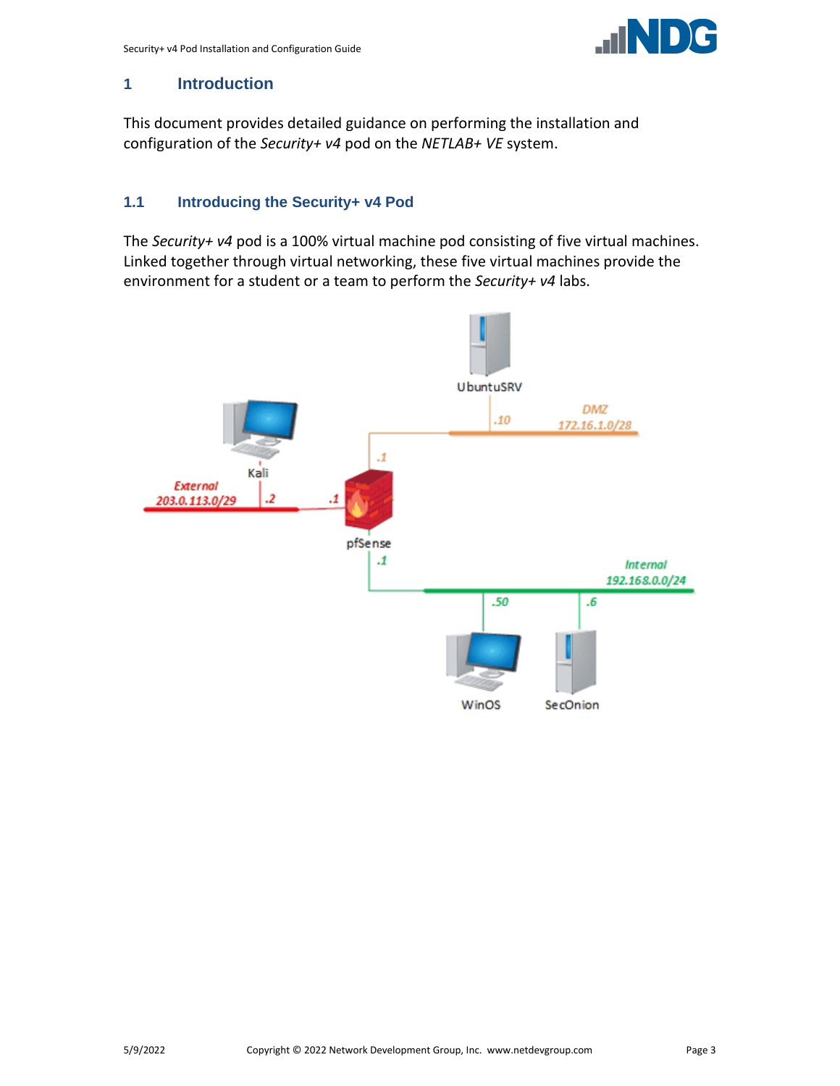

#### <span id="page-2-0"></span>**1 Introduction**

This document provides detailed guidance on performing the installation and configuration of the *Security+ v4* pod on the *NETLAB+ VE* system.

## <span id="page-2-1"></span>**1.1 Introducing the Security+ v4 Pod**

The *Security+ v4* pod is a 100% virtual machine pod consisting of five virtual machines. Linked together through virtual networking, these five virtual machines provide the environment for a student or a team to perform the *Security+ v4* labs.

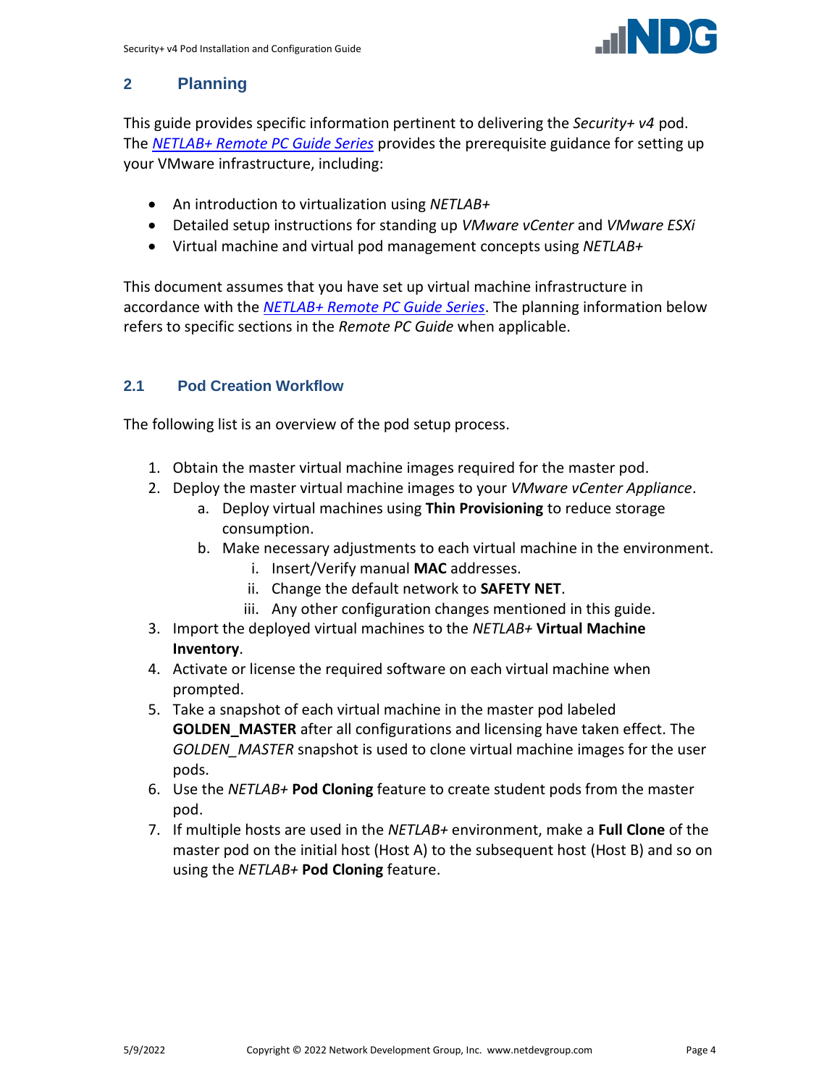

## <span id="page-3-0"></span>**2 Planning**

This guide provides specific information pertinent to delivering the *Security+ v4* pod. The *[NETLAB+ Remote PC Guide Series](http://www.netdevgroup.com/support/documentation/netlabve/)* provides the prerequisite guidance for setting up your VMware infrastructure, including:

- An introduction to virtualization using *NETLAB+*
- Detailed setup instructions for standing up *VMware vCenter* and *VMware ESXi*
- Virtual machine and virtual pod management concepts using *NETLAB+*

This document assumes that you have set up virtual machine infrastructure in accordance with the *[NETLAB+ Remote PC Guide Series](http://www.netdevgroup.com/support/documentation/netlabve/)*. The planning information below refers to specific sections in the *Remote PC Guide* when applicable.

## <span id="page-3-1"></span>**2.1 Pod Creation Workflow**

The following list is an overview of the pod setup process.

- 1. Obtain the master virtual machine images required for the master pod.
- 2. Deploy the master virtual machine images to your *VMware vCenter Appliance*.
	- a. Deploy virtual machines using **Thin Provisioning** to reduce storage consumption.
	- b. Make necessary adjustments to each virtual machine in the environment.
		- i. Insert/Verify manual **MAC** addresses.
		- ii. Change the default network to **SAFETY NET**.
		- iii. Any other configuration changes mentioned in this guide.
- 3. Import the deployed virtual machines to the *NETLAB+* **Virtual Machine Inventory**.
- 4. Activate or license the required software on each virtual machine when prompted.
- 5. Take a snapshot of each virtual machine in the master pod labeled **GOLDEN\_MASTER** after all configurations and licensing have taken effect. The *GOLDEN\_MASTER* snapshot is used to clone virtual machine images for the user pods.
- 6. Use the *NETLAB+* **Pod Cloning** feature to create student pods from the master pod.
- 7. If multiple hosts are used in the *NETLAB+* environment, make a **Full Clone** of the master pod on the initial host (Host A) to the subsequent host (Host B) and so on using the *NETLAB+* **Pod Cloning** feature.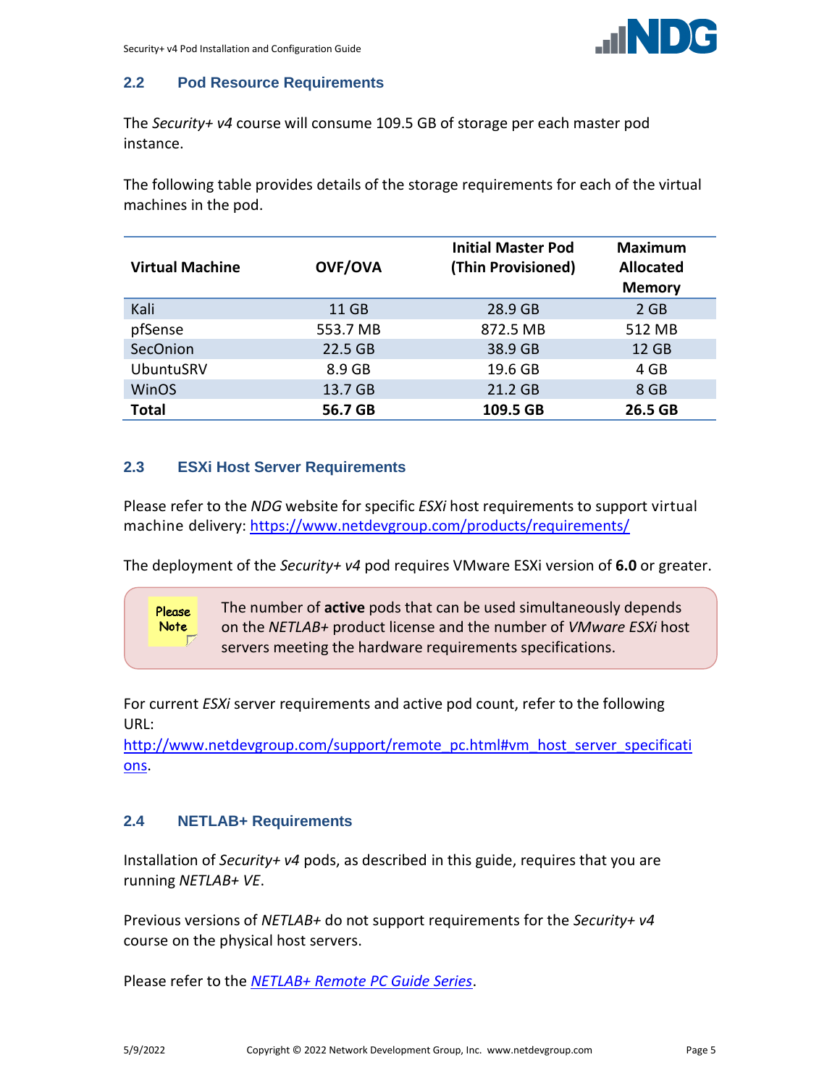

## <span id="page-4-0"></span>**2.2 Pod Resource Requirements**

The *Security+ v4* course will consume 109.5 GB of storage per each master pod instance.

The following table provides details of the storage requirements for each of the virtual machines in the pod.

| <b>Virtual Machine</b> | <b>OVF/OVA</b> | <b>Initial Master Pod</b><br>(Thin Provisioned) | <b>Maximum</b><br><b>Allocated</b><br><b>Memory</b> |
|------------------------|----------------|-------------------------------------------------|-----------------------------------------------------|
| Kali                   | 11 GB          | 28.9 GB                                         | $2$ GB                                              |
| pfSense                | 553.7 MB       | 872.5 MB                                        | 512 MB                                              |
| SecOnion               | 22.5 GB        | 38.9 GB                                         | 12 GB                                               |
| <b>UbuntuSRV</b>       | 8.9 GB         | 19.6 GB                                         | 4 GB                                                |
| <b>WinOS</b>           | 13.7 GB        | 21.2 GB                                         | 8 GB                                                |
| <b>Total</b>           | 56.7 GB        | 109.5 GB                                        | 26.5 GB                                             |

## <span id="page-4-1"></span>**2.3 ESXi Host Server Requirements**

Please refer to the *NDG* website for specific *ESXi* host requirements to support virtual machine delivery: <https://www.netdevgroup.com/products/requirements/>

The deployment of the *Security+ v4* pod requires VMware ESXi version of **6.0** or greater.

The number of **active** pods that can be used simultaneously depends on the *NETLAB+* product license and the number of *VMware ESXi* host servers meeting the hardware requirements specifications.

For current *ESXi* server requirements and active pod count, refer to the following URL:

[http://www.netdevgroup.com/support/remote\\_pc.html#vm\\_host\\_server\\_specificati](http://www.netdevgroup.com/support/remote_pc.html#vm_host_server_specifications) [ons.](http://www.netdevgroup.com/support/remote_pc.html#vm_host_server_specifications)

## <span id="page-4-2"></span>**2.4 NETLAB+ Requirements**

Please **Note** 

Installation of *Security+ v4* pods, as described in this guide, requires that you are running *NETLAB+ VE*.

Previous versions of *NETLAB+* do not support requirements for the *Security+ v4* course on the physical host servers.

Please refer to the *[NETLAB+ Remote PC Guide Series](https://www.netdevgroup.com/support/documentation/netlabve/)*.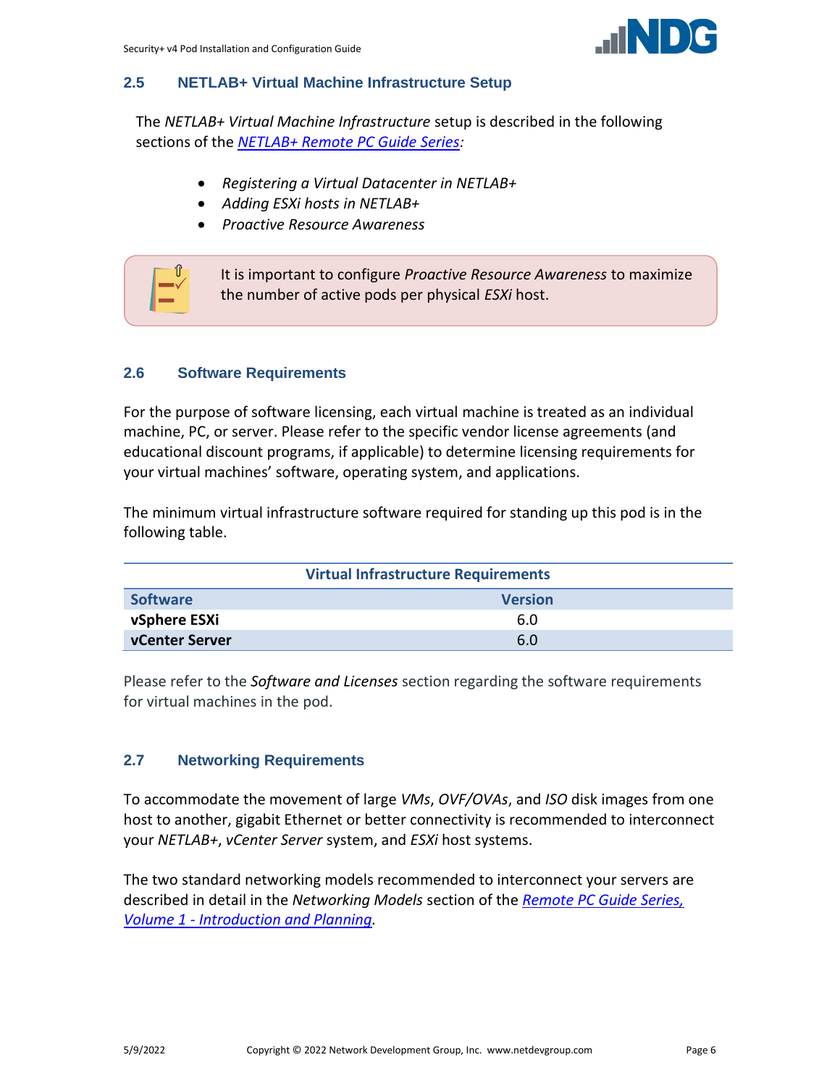

#### <span id="page-5-0"></span>**2.5 NETLAB+ Virtual Machine Infrastructure Setup**

The *NETLAB+ Virtual Machine Infrastructure* setup is described in the following sections of the *[NETLAB+ Remote PC Guide Series:](http://www.netdevgroup.com/support/documentation/netlabve/)*

- *Registering a Virtual Datacenter in NETLAB+*
- *Adding ESXi hosts in NETLAB+*
- *Proactive Resource Awareness*



#### <span id="page-5-1"></span>**2.6 Software Requirements**

For the purpose of software licensing, each virtual machine is treated as an individual machine, PC, or server. Please refer to the specific vendor license agreements (and educational discount programs, if applicable) to determine licensing requirements for your virtual machines' software, operating system, and applications.

The minimum virtual infrastructure software required for standing up this pod is in the following table.

| <b>Virtual Infrastructure Requirements</b> |                |  |  |
|--------------------------------------------|----------------|--|--|
| <b>Software</b>                            | <b>Version</b> |  |  |
| vSphere ESXi                               | 6.0            |  |  |
| vCenter Server                             | 6.0            |  |  |

Please refer to the *Software and Licenses* section regarding the software requirements for virtual machines in the pod.

#### <span id="page-5-2"></span>**2.7 Networking Requirements**

To accommodate the movement of large *VMs*, *OVF/OVAs*, and *ISO* disk images from one host to another, gigabit Ethernet or better connectivity is recommended to interconnect your *NETLAB+*, *vCenter Server* system, and *ESXi* host systems.

The two standard networking models recommended to interconnect your servers are described in detail in the *Networking Models* section of the *[Remote PC Guide Series,](http://www.netdevgroup.com/support/documentation/NETLAB_Remote_PC_Guide_Vol_1_Introduction.pdf)  Volume 1 - [Introduction and Planning.](http://www.netdevgroup.com/support/documentation/NETLAB_Remote_PC_Guide_Vol_1_Introduction.pdf)*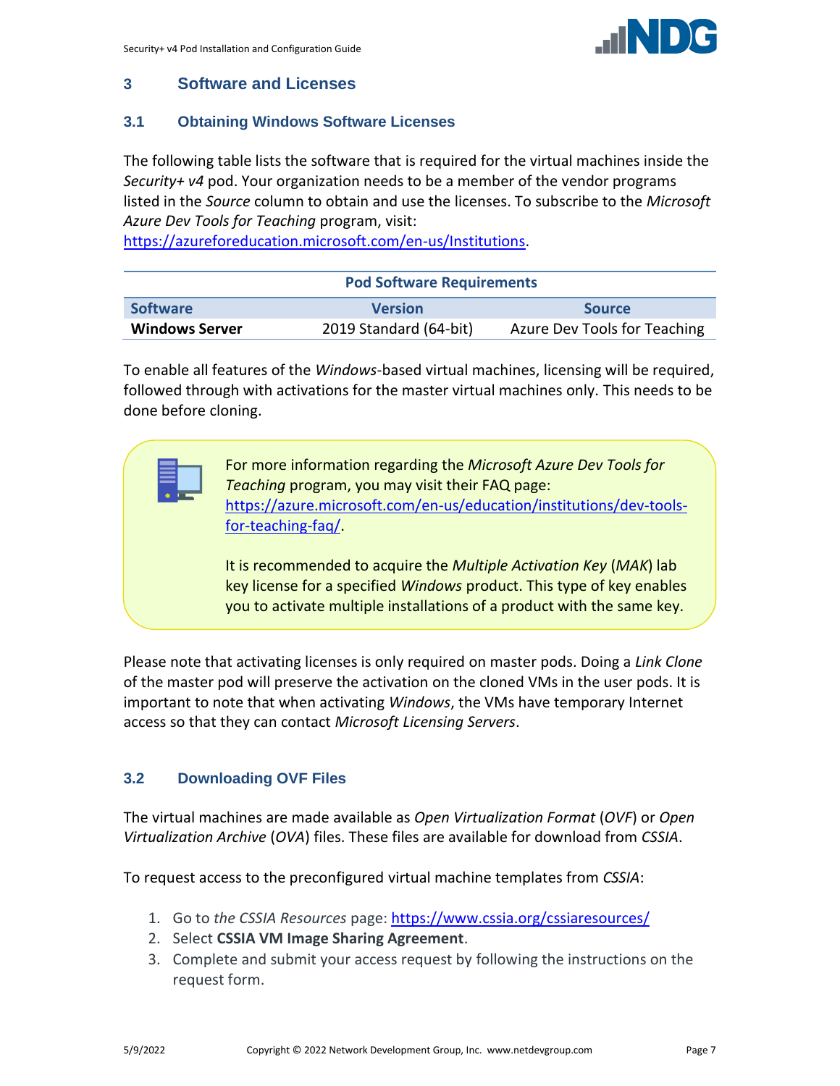## <span id="page-6-0"></span>**3 Software and Licenses**

#### <span id="page-6-1"></span>**3.1 Obtaining Windows Software Licenses**

The following table lists the software that is required for the virtual machines inside the *Security+ v4* pod. Your organization needs to be a member of the vendor programs listed in the *Source* column to obtain and use the licenses. To subscribe to the *Microsoft Azure Dev Tools for Teaching* program, visit:

[https://azureforeducation.microsoft.com/en-us/Institutions.](https://azureforeducation.microsoft.com/en-us/Institutions)

| <b>Pod Software Requirements</b> |                        |                              |  |  |
|----------------------------------|------------------------|------------------------------|--|--|
| <b>Software</b>                  | <b>Version</b>         | <b>Source</b>                |  |  |
| <b>Windows Server</b>            | 2019 Standard (64-bit) | Azure Dev Tools for Teaching |  |  |

To enable all features of the *Windows*-based virtual machines, licensing will be required, followed through with activations for the master virtual machines only. This needs to be done before cloning.

> For more information regarding the *Microsoft Azure Dev Tools for Teaching* program, you may visit their FAQ page: [https://azure.microsoft.com/en-us/education/institutions/dev-tools](https://azure.microsoft.com/en-us/education/institutions/dev-tools-for-teaching-faq/)[for-teaching-faq/.](https://azure.microsoft.com/en-us/education/institutions/dev-tools-for-teaching-faq/)

> It is recommended to acquire the *Multiple Activation Key* (*MAK*) lab key license for a specified *Windows* product. This type of key enables you to activate multiple installations of a product with the same key.

Please note that activating licenses is only required on master pods. Doing a *Link Clone* of the master pod will preserve the activation on the cloned VMs in the user pods. It is important to note that when activating *Windows*, the VMs have temporary Internet access so that they can contact *Microsoft Licensing Servers*.

## <span id="page-6-2"></span>**3.2 Downloading OVF Files**

The virtual machines are made available as *Open Virtualization Format* (*OVF*) or *Open Virtualization Archive* (*OVA*) files. These files are available for download from *CSSIA*.

To request access to the preconfigured virtual machine templates from *CSSIA*:

- 1. Go to *the CSSIA Resources* page: <https://www.cssia.org/cssiaresources/>
- 2. Select **CSSIA VM Image Sharing Agreement**.
- 3. Complete and submit your access request by following the instructions on the request form.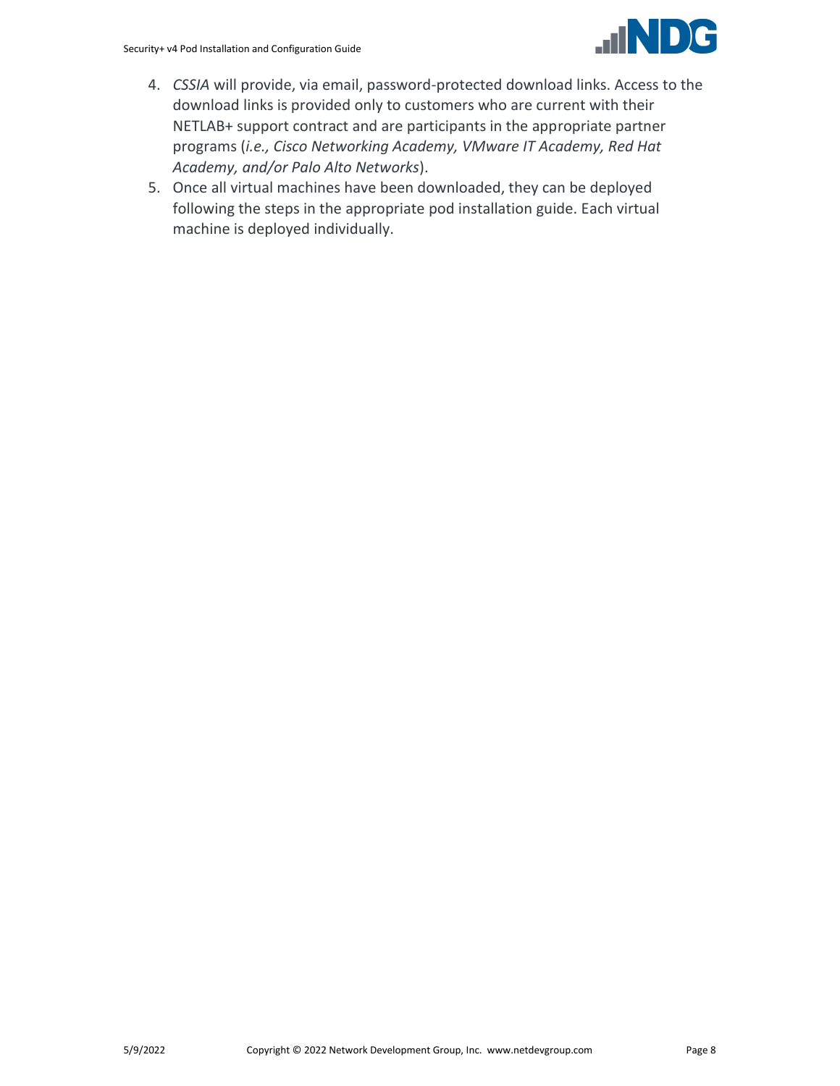

- 4. *CSSIA* will provide, via email, password-protected download links. Access to the download links is provided only to customers who are current with their NETLAB+ support contract and are participants in the appropriate partner programs (*i.e., Cisco Networking Academy, VMware IT Academy, Red Hat Academy, and/or Palo Alto Networks*).
- 5. Once all virtual machines have been downloaded, they can be deployed following the steps in the appropriate pod installation guide. Each virtual machine is deployed individually.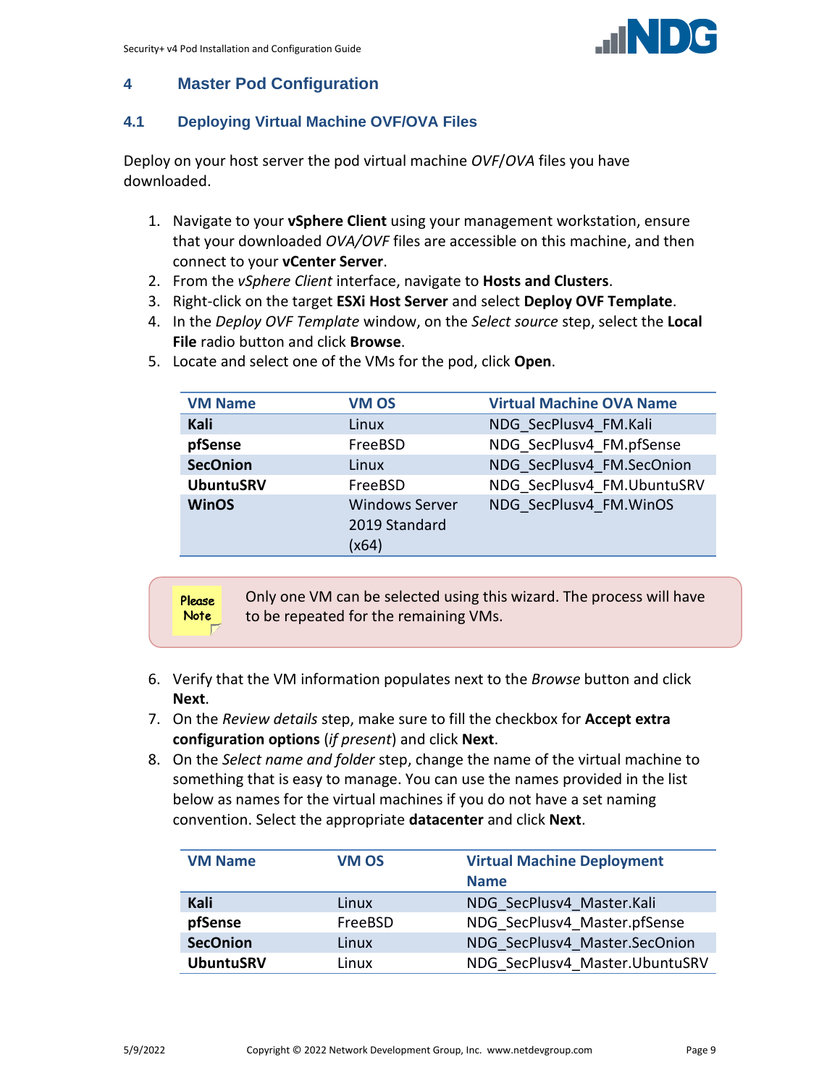

## <span id="page-8-0"></span>**4 Master Pod Configuration**

## <span id="page-8-1"></span>**4.1 Deploying Virtual Machine OVF/OVA Files**

Deploy on your host server the pod virtual machine *OVF*/*OVA* files you have downloaded.

- 1. Navigate to your **vSphere Client** using your management workstation, ensure that your downloaded *OVA/OVF* files are accessible on this machine, and then connect to your **vCenter Server**.
- 2. From the *vSphere Client* interface, navigate to **Hosts and Clusters**.
- 3. Right-click on the target **ESXi Host Server** and select **Deploy OVF Template**.
- 4. In the *Deploy OVF Template* window, on the *Select source* step, select the **Local File** radio button and click **Browse**.

| <b>VM Name</b>   | <b>VM OS</b>                                    | <b>Virtual Machine OVA Name</b> |
|------------------|-------------------------------------------------|---------------------------------|
| Kali             | Linux                                           | NDG SecPlusv4 FM.Kali           |
| pfSense          | FreeBSD                                         | NDG SecPlusv4 FM.pfSense        |
| <b>SecOnion</b>  | Linux                                           | NDG SecPlusv4 FM.SecOnion       |
| <b>UbuntuSRV</b> | FreeBSD                                         | NDG SecPlusv4 FM.UbuntuSRV      |
| <b>WinOS</b>     | <b>Windows Server</b><br>2019 Standard<br>(x64) | NDG SecPlusv4 FM.WinOS          |

5. Locate and select one of the VMs for the pod, click **Open**.

| Please | Only one VM can be selected using this wizard. The process will have |
|--------|----------------------------------------------------------------------|
| Note   | to be repeated for the remaining VMs.                                |

- 6. Verify that the VM information populates next to the *Browse* button and click **Next**.
- 7. On the *Review details* step, make sure to fill the checkbox for **Accept extra configuration options** (*if present*) and click **Next**.
- 8. On the *Select name and folder* step, change the name of the virtual machine to something that is easy to manage. You can use the names provided in the list below as names for the virtual machines if you do not have a set naming convention. Select the appropriate **datacenter** and click **Next**.

| <b>VM Name</b>   | <b>VM OS</b> | <b>Virtual Machine Deployment</b> |
|------------------|--------------|-----------------------------------|
|                  |              | <b>Name</b>                       |
| Kali             | Linux        | NDG SecPlusv4 Master.Kali         |
| pfSense          | FreeBSD      | NDG SecPlusv4 Master.pfSense      |
| <b>SecOnion</b>  | Linux        | NDG SecPlusv4 Master.SecOnion     |
| <b>UbuntuSRV</b> | Linux        | NDG SecPlusv4 Master.UbuntuSRV    |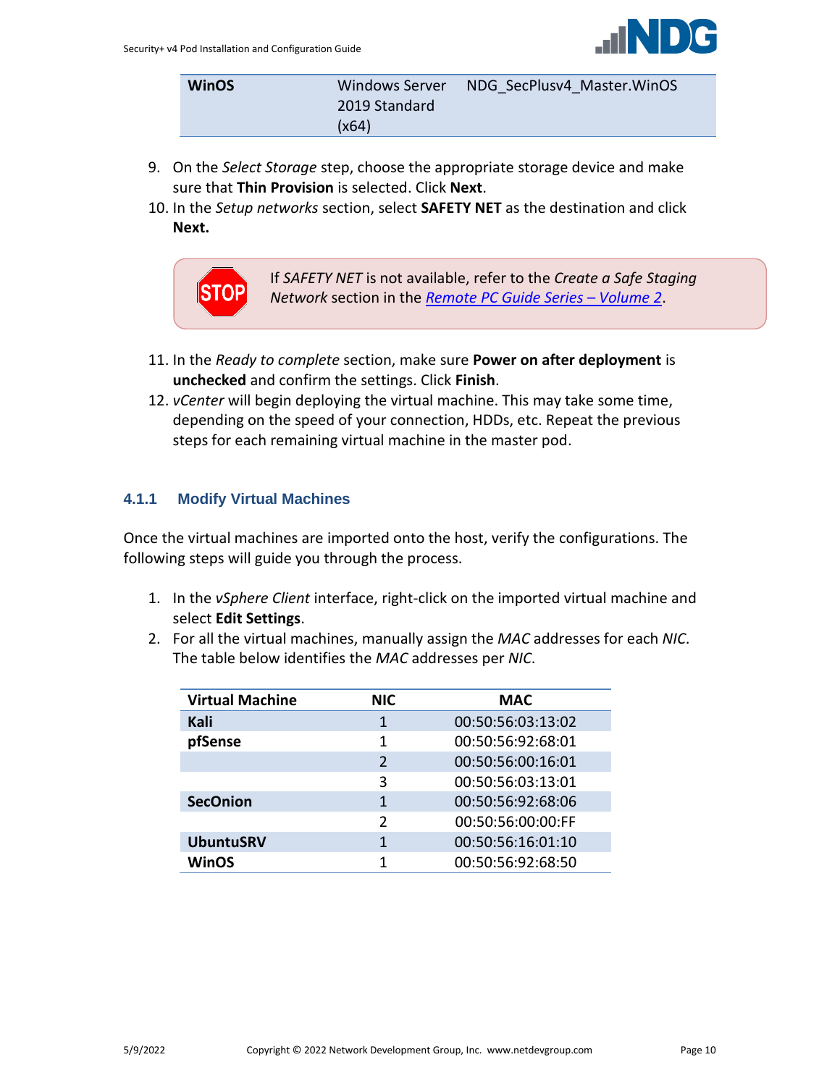

| <b>WinOS</b> | Windows Server | NDG SecPlusv4 Master. WinOS |
|--------------|----------------|-----------------------------|
|              | 2019 Standard  |                             |
|              | (x64)          |                             |

- 9. On the *Select Storage* step, choose the appropriate storage device and make sure that **Thin Provision** is selected. Click **Next**.
- 10. In the *Setup networks* section, select **SAFETY NET** as the destination and click **Next.**



If *SAFETY NET* is not available, refer to the *Create a Safe Staging Network* section in the *[Remote PC Guide Series](http://www.netdevgroup.com/support/documentation/NETLAB_Remote_PC_Guide_Vol_2_Installation.pdf) – Volume 2*.

- 11. In the *Ready to complete* section, make sure **Power on after deployment** is **unchecked** and confirm the settings. Click **Finish**.
- 12. *vCenter* will begin deploying the virtual machine. This may take some time, depending on the speed of your connection, HDDs, etc. Repeat the previous steps for each remaining virtual machine in the master pod.

## <span id="page-9-0"></span>**4.1.1 Modify Virtual Machines**

Once the virtual machines are imported onto the host, verify the configurations. The following steps will guide you through the process.

- 1. In the *vSphere Client* interface, right-click on the imported virtual machine and select **Edit Settings**.
- 2. For all the virtual machines, manually assign the *MAC* addresses for each *NIC*. The table below identifies the *MAC* addresses per *NIC*.

| <b>Virtual Machine</b> | <b>NIC</b>    | <b>MAC</b>        |
|------------------------|---------------|-------------------|
| Kali                   | 1             | 00:50:56:03:13:02 |
| pfSense                | 1             | 00:50:56:92:68:01 |
|                        | $\mathcal{P}$ | 00:50:56:00:16:01 |
|                        | 3             | 00:50:56:03:13:01 |
| <b>SecOnion</b>        | 1             | 00:50:56:92:68:06 |
|                        | $\mathcal{P}$ | 00:50:56:00:00:FF |
| <b>UbuntuSRV</b>       |               | 00:50:56:16:01:10 |
| <b>WinOS</b>           |               | 00:50:56:92:68:50 |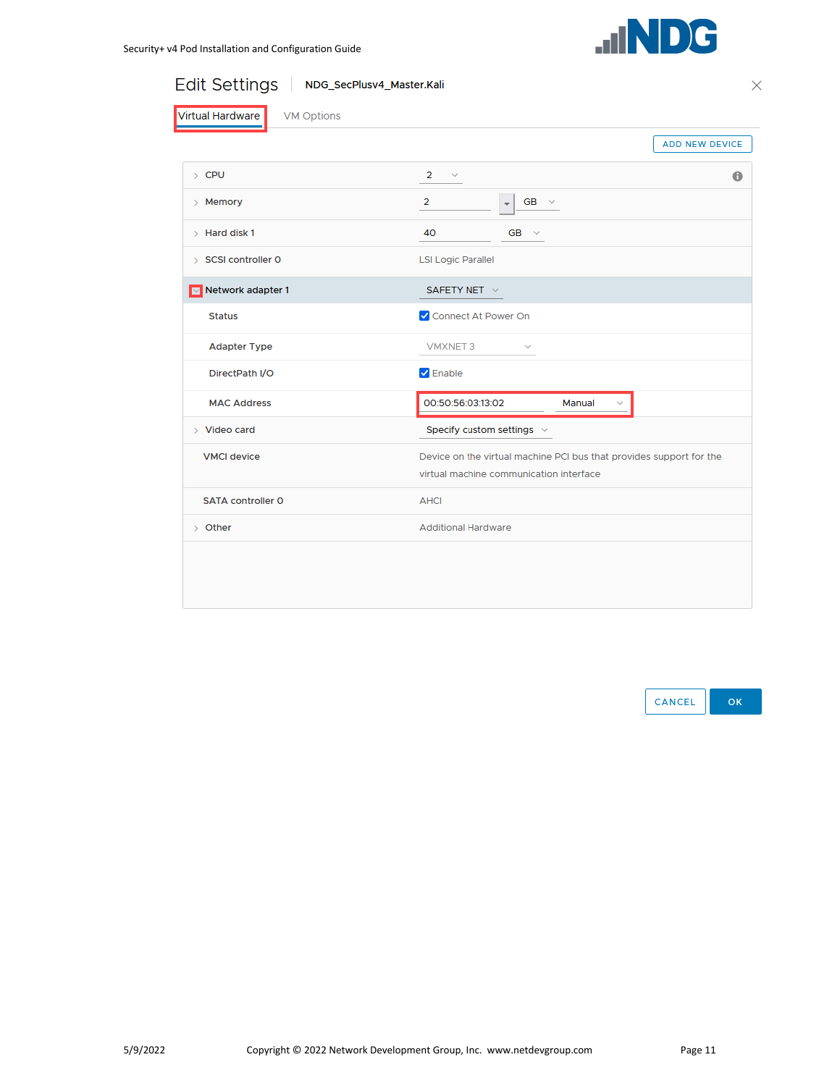

Edit Settings | NDG\_SecPlusv4\_Master.Kali

 $\times$ 

|                          | <b>ADD NEW DEVICE</b>                                                                                          |  |  |
|--------------------------|----------------------------------------------------------------------------------------------------------------|--|--|
| $\angle$ CPU             | $\overline{2}$<br>$\sim$<br>$\bf{0}$                                                                           |  |  |
| > Memory                 | $\overline{2}$<br>$GB \sim$<br>$\overline{\mathbf{v}}$                                                         |  |  |
| $\angle$ Hard disk 1     | 40<br>GB $\vee$                                                                                                |  |  |
| > SCSI controller 0      | <b>LSI Logic Parallel</b>                                                                                      |  |  |
| Metwork adapter 1        | SAFETY NET V                                                                                                   |  |  |
| <b>Status</b>            | Connect At Power On                                                                                            |  |  |
| <b>Adapter Type</b>      | VMXNET 3<br>$\sim$                                                                                             |  |  |
| DirectPath I/O           | $\triangledown$ Enable                                                                                         |  |  |
| <b>MAC Address</b>       | 00:50:56:03:13:02<br>Manual                                                                                    |  |  |
| $>$ Video card           | Specify custom settings $\sim$                                                                                 |  |  |
| <b>VMCI</b> device       | Device on the virtual machine PCI bus that provides support for the<br>virtual machine communication interface |  |  |
| <b>SATA controller O</b> | <b>AHCI</b>                                                                                                    |  |  |
| $\rightarrow$ Other      | <b>Additional Hardware</b>                                                                                     |  |  |

CANCEL ok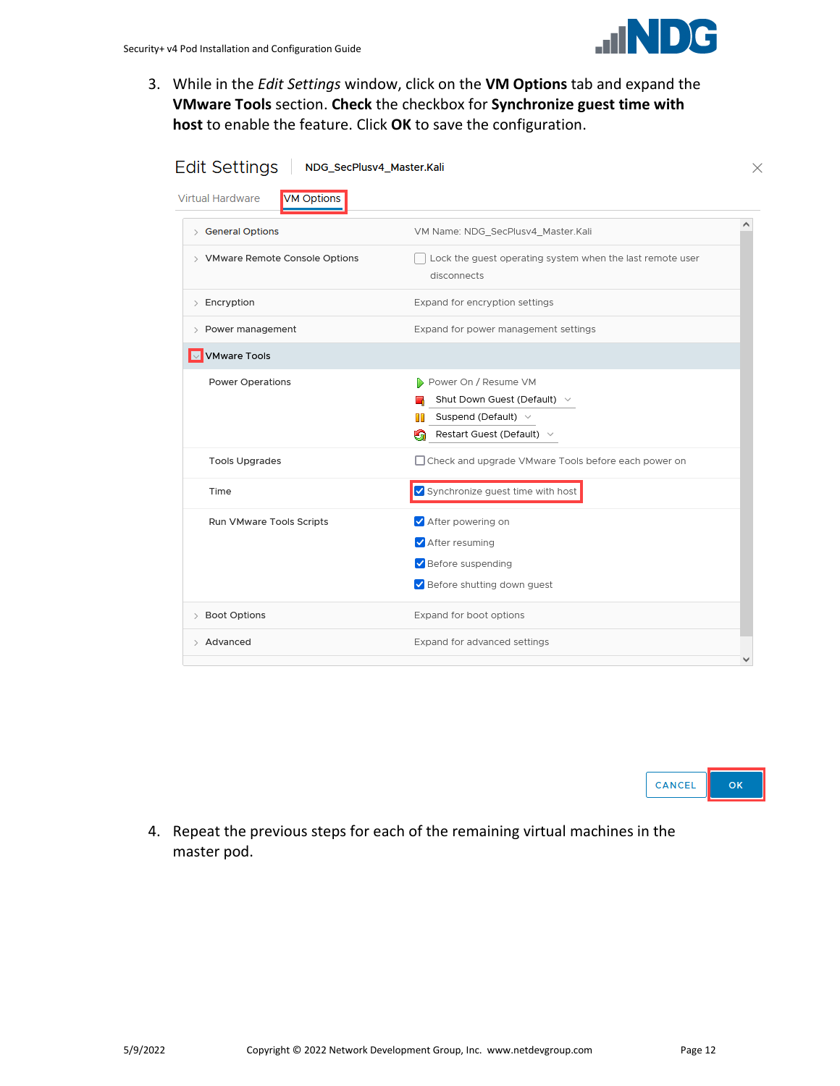

3. While in the *Edit Settings* window, click on the **VM Options** tab and expand the **VMware Tools** section. **Check** the checkbox for **Synchronize guest time with host** to enable the feature. Click **OK** to save the configuration.

| <b>Edit Settings</b><br>NDG_SecPlusv4_Master.Kali<br><b>Virtual Hardware</b><br><b>VM Options</b> |                                                                                                                                   |   |
|---------------------------------------------------------------------------------------------------|-----------------------------------------------------------------------------------------------------------------------------------|---|
| > General Options                                                                                 | VM Name: NDG_SecPlusv4_Master.Kali                                                                                                | ^ |
| > VMware Remote Console Options                                                                   | Lock the guest operating system when the last remote user<br>disconnects                                                          |   |
| $\angle$ Encryption                                                                               | Expand for encryption settings                                                                                                    |   |
| > Power management                                                                                | Expand for power management settings                                                                                              |   |
| VMware Tools                                                                                      |                                                                                                                                   |   |
| <b>Power Operations</b>                                                                           | Power On / Resume VM<br>Shut Down Guest (Default) $\vee$<br>Suspend (Default) $\vee$<br>ПΠ<br>Restart Guest (Default) $\vee$<br>ь |   |
| <b>Tools Upgrades</b>                                                                             | □ Check and upgrade VMware Tools before each power on                                                                             |   |
| Time                                                                                              | Synchronize guest time with host                                                                                                  |   |
| Run VMware Tools Scripts                                                                          | After powering on<br>After resuming<br>Before suspending                                                                          |   |
|                                                                                                   | Before shutting down guest                                                                                                        |   |
| > Boot Options                                                                                    | Expand for boot options                                                                                                           |   |
| > Advanced                                                                                        | Expand for advanced settings                                                                                                      |   |

| $\epsilon$<br><b>INCEL</b> |  |
|----------------------------|--|
|----------------------------|--|

4. Repeat the previous steps for each of the remaining virtual machines in the master pod.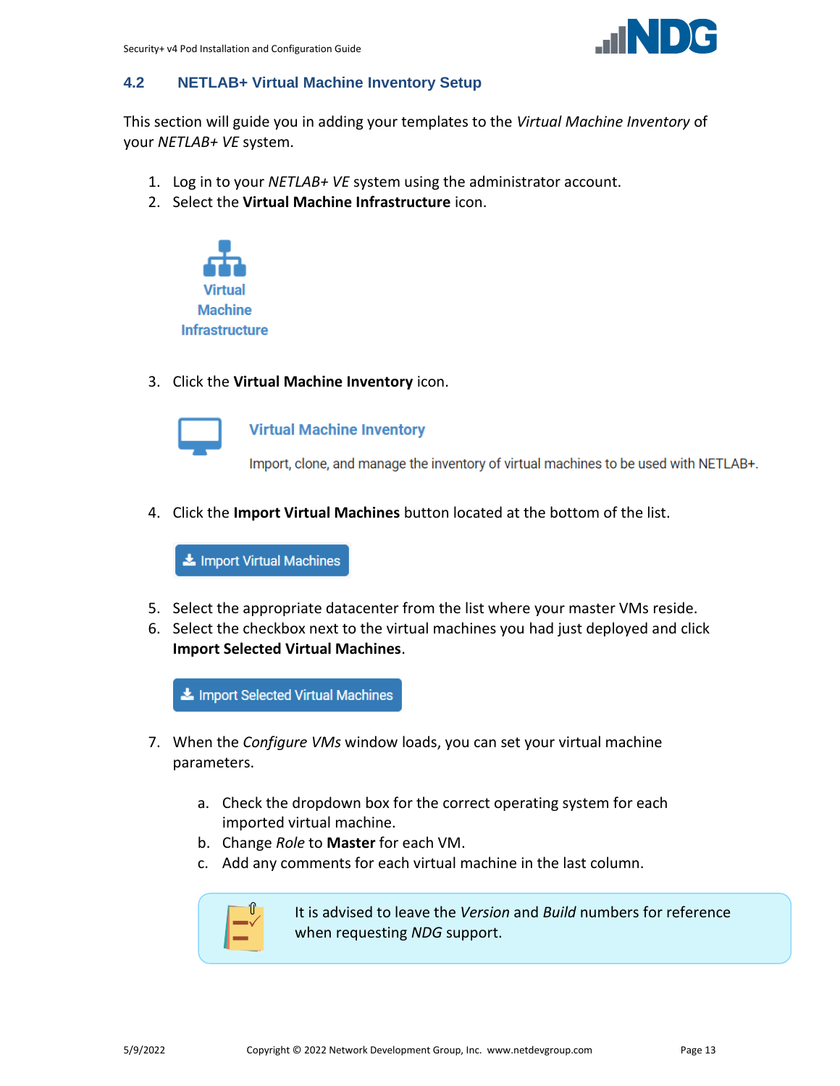

## <span id="page-12-0"></span>**4.2 NETLAB+ Virtual Machine Inventory Setup**

This section will guide you in adding your templates to the *Virtual Machine Inventory* of your *NETLAB+ VE* system.

- 1. Log in to your *NETLAB+ VE* system using the administrator account.
- 2. Select the **Virtual Machine Infrastructure** icon.



3. Click the **Virtual Machine Inventory** icon.



**Virtual Machine Inventory** 

Import, clone, and manage the inventory of virtual machines to be used with NETLAB+.

4. Click the **Import Virtual Machines** button located at the bottom of the list.

Import Virtual Machines

- 5. Select the appropriate datacenter from the list where your master VMs reside.
- 6. Select the checkbox next to the virtual machines you had just deployed and click **Import Selected Virtual Machines**.

Import Selected Virtual Machines

- 7. When the *Configure VMs* window loads, you can set your virtual machine parameters.
	- a. Check the dropdown box for the correct operating system for each imported virtual machine.
	- b. Change *Role* to **Master** for each VM.
	- c. Add any comments for each virtual machine in the last column.



It is advised to leave the *Version* and *Build* numbers for reference when requesting *NDG* support.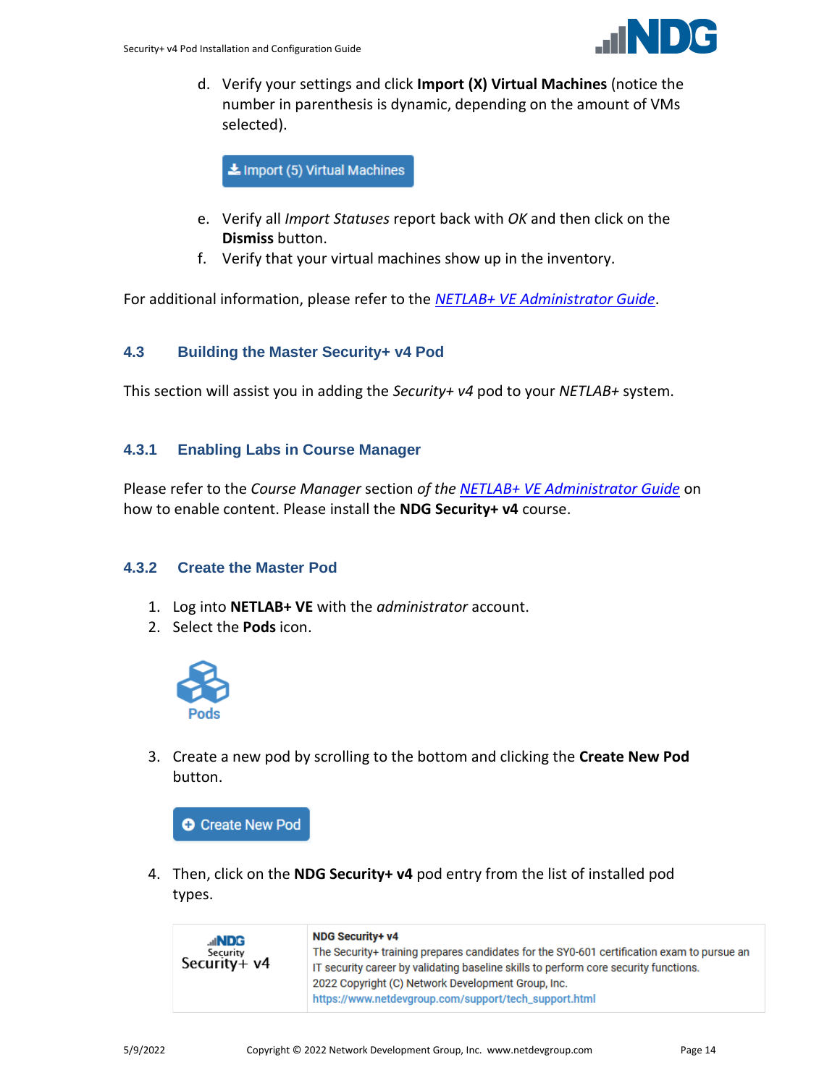

d. Verify your settings and click **Import (X) Virtual Machines** (notice the number in parenthesis is dynamic, depending on the amount of VMs selected).

Import (5) Virtual Machines

- e. Verify all *Import Statuses* report back with *OK* and then click on the **Dismiss** button.
- f. Verify that your virtual machines show up in the inventory.

For additional information, please refer to the *[NETLAB+ VE Administrator Guide](http://www.netdevgroup.com/support/documentation/netlabve/netlabve_administrator_guide.pdf#nameddest=virtual_machine_infrastructure)*.

#### <span id="page-13-0"></span>**4.3 Building the Master Security+ v4 Pod**

This section will assist you in adding the *Security+ v4* pod to your *NETLAB+* system.

#### <span id="page-13-1"></span>**4.3.1 Enabling Labs in Course Manager**

Please refer to the *Course Manager* section *of the [NETLAB+ VE Administrator Guide](https://www.netdevgroup.com/support/documentation/netlabve/netlabve_administrator_guide.pdf#nameddest=course_manager)* on how to enable content. Please install the **NDG Security+ v4** course.

#### <span id="page-13-2"></span>**4.3.2 Create the Master Pod**

- 1. Log into **NETLAB+ VE** with the *administrator* account.
- 2. Select the **Pods** icon.



3. Create a new pod by scrolling to the bottom and clicking the **Create New Pod** button.

**O** Create New Pod

4. Then, click on the **NDG Security+ v4** pod entry from the list of installed pod types.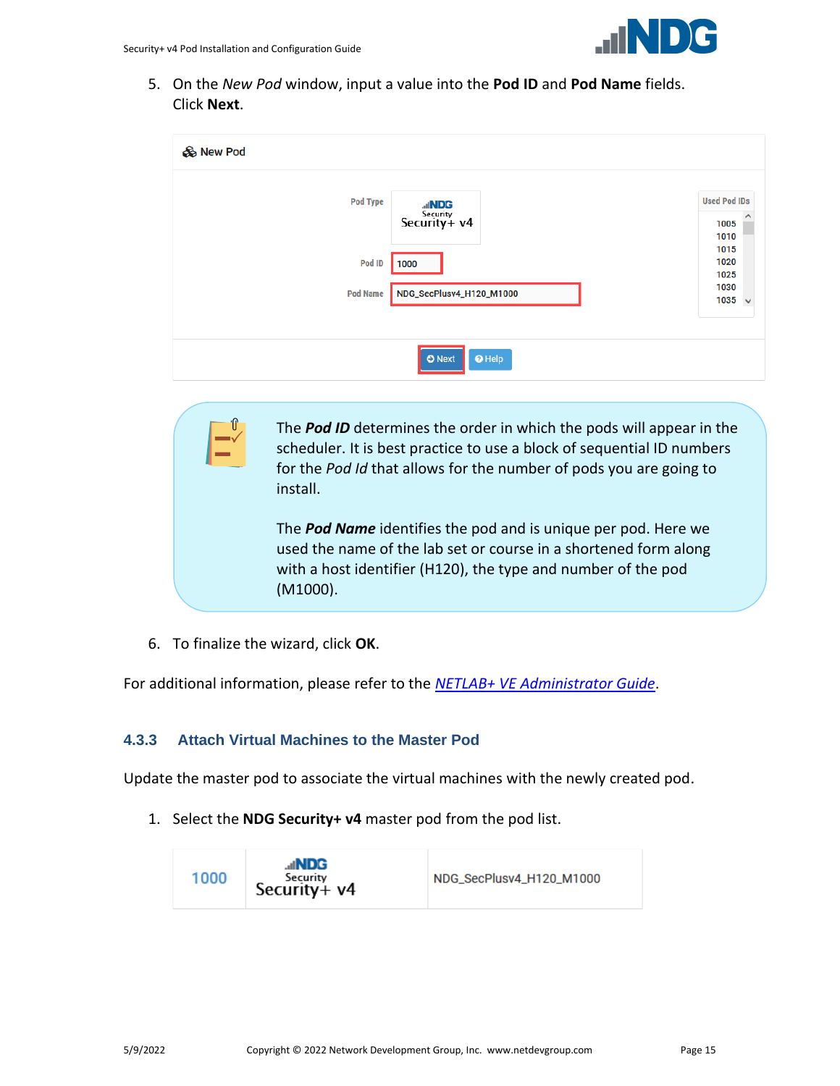

5. On the *New Pod* window, input a value into the **Pod ID** and **Pod Name** fields. Click **Next**.

| & New Pod       |                                         |                                     |
|-----------------|-----------------------------------------|-------------------------------------|
| Pod Type        | <b>ANDG</b><br>Security<br>Security+ v4 | <b>Used Pod IDs</b><br>1005<br>1010 |
| Pod ID          | 1000                                    | 1015<br>1020<br>1025                |
| <b>Pod Name</b> | NDG_SecPlusv4_H120_M1000                | 1030<br>$1035 \sim$                 |
|                 | $\Theta$ Help<br><b>O</b> Next          |                                     |

The *Pod ID* determines the order in which the pods will appear in the scheduler. It is best practice to use a block of sequential ID numbers for the *Pod Id* that allows for the number of pods you are going to install.

The *Pod Name* identifies the pod and is unique per pod. Here we used the name of the lab set or course in a shortened form along with a host identifier (H120), the type and number of the pod (M1000).

6. To finalize the wizard, click **OK**.

For additional information, please refer to the *NETLAB+ VE [Administrator Guide](http://www.netdevgroup.com/support/documentation/netlabve/netlabve_administrator_guide.pdf)*.

## <span id="page-14-0"></span>**4.3.3 Attach Virtual Machines to the Master Pod**

Update the master pod to associate the virtual machines with the newly created pod.

1. Select the **NDG Security+ v4** master pod from the pod list.

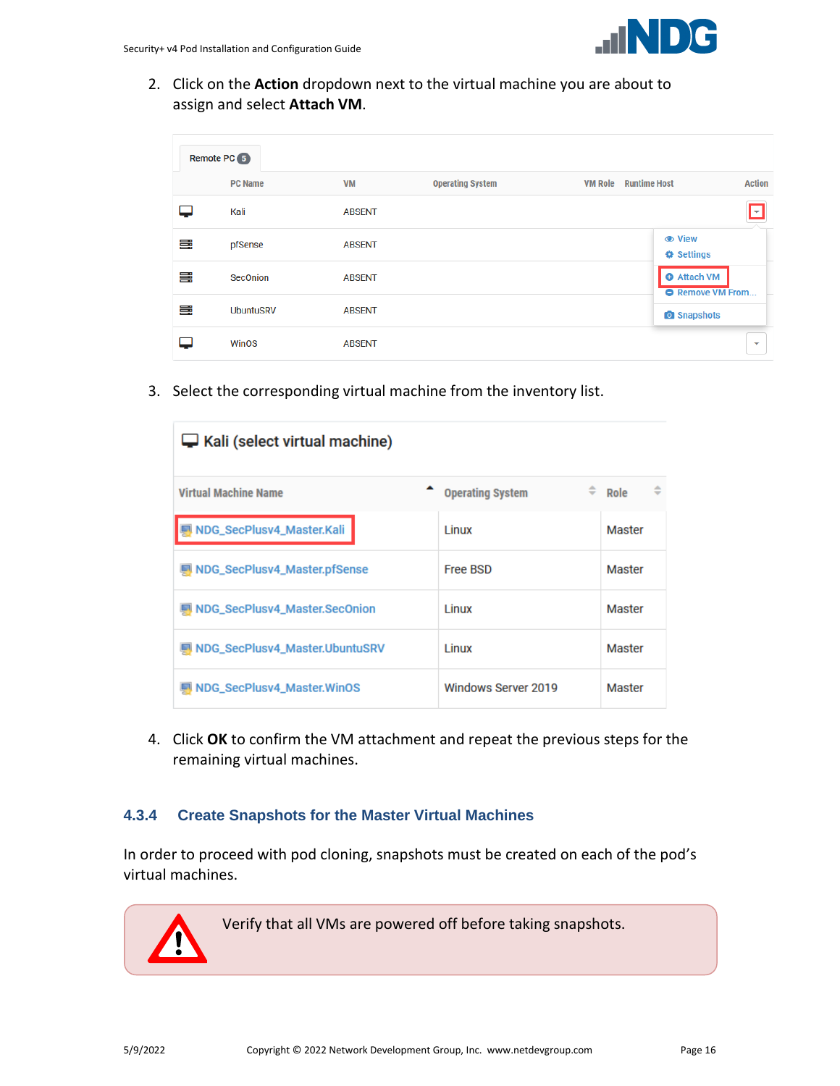

2. Click on the **Action** dropdown next to the virtual machine you are about to assign and select **Attach VM**.

|   | Remote PC 5      |               |                         |                                               |                          |
|---|------------------|---------------|-------------------------|-----------------------------------------------|--------------------------|
|   | <b>PC Name</b>   | <b>VM</b>     | <b>Operating System</b> | <b>Runtime Host</b><br><b>VM Role</b>         | <b>Action</b>            |
|   | Kali             | <b>ABSENT</b> |                         |                                               | lv                       |
| ≣ | pfSense          | <b>ABSENT</b> |                         | <b>● View</b><br><b>♦ Settings</b>            |                          |
| ≣ | <b>SecOnion</b>  | <b>ABSENT</b> |                         | <b>O</b> Attach VM<br><b>O</b> Remove VM From |                          |
| ≣ | <b>UbuntuSRV</b> | <b>ABSENT</b> |                         | <b>O</b> Snapshots                            |                          |
|   | <b>WinOS</b>     | <b>ABSENT</b> |                         |                                               | $\overline{\phantom{a}}$ |

3. Select the corresponding virtual machine from the inventory list.

| Kali (select virtual machine)  |                         |                     |
|--------------------------------|-------------------------|---------------------|
| <b>Virtual Machine Name</b>    | <b>Operating System</b> | $\hat{=}$ Role<br>≙ |
| NDG_SecPlusv4_Master.Kali      | Linux                   | Master              |
| NDG_SecPlusv4_Master.pfSense   | <b>Free BSD</b>         | Master              |
| NDG_SecPlusv4_Master.SecOnion  | Linux                   | Master              |
| NDG_SecPlusv4_Master.UbuntuSRV | Linux                   | Master              |
| NDG_SecPlusv4_Master.WinOS     | Windows Server 2019     | Master              |

4. Click **OK** to confirm the VM attachment and repeat the previous steps for the remaining virtual machines.

#### <span id="page-15-0"></span>**4.3.4 Create Snapshots for the Master Virtual Machines**

In order to proceed with pod cloning, snapshots must be created on each of the pod's virtual machines.

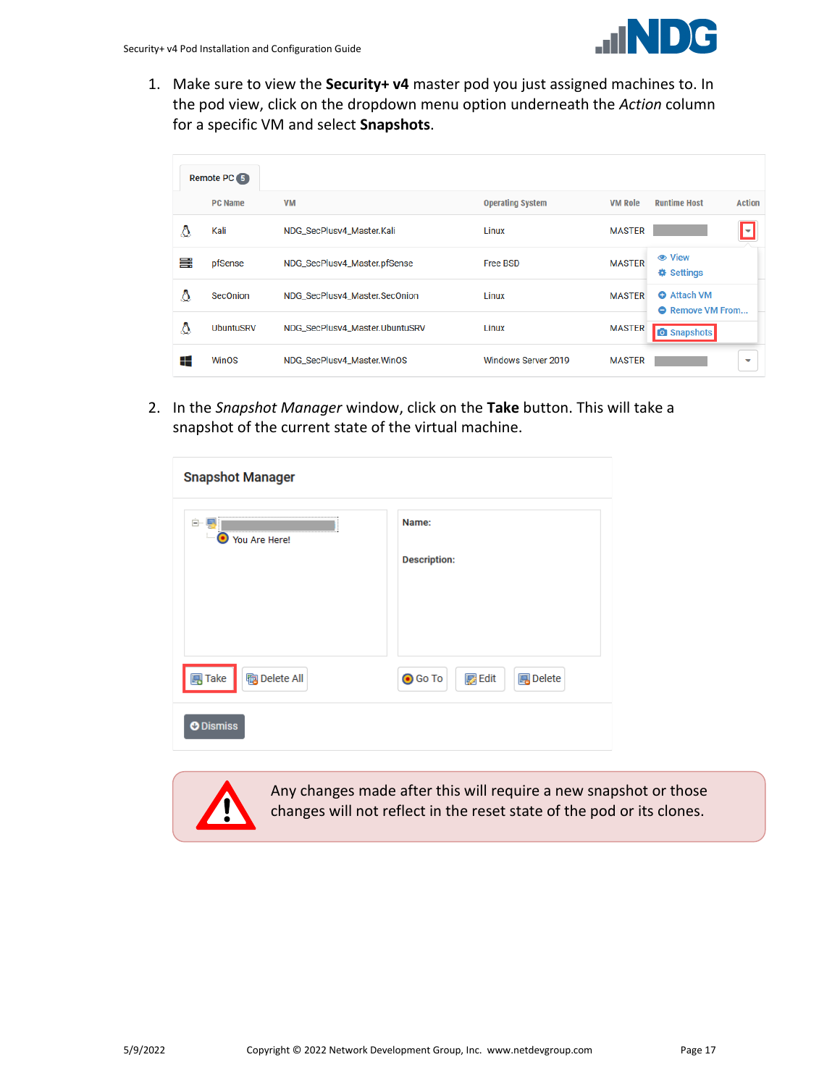

1. Make sure to view the **Security+ v4** master pod you just assigned machines to. In the pod view, click on the dropdown menu option underneath the *Action* column for a specific VM and select **Snapshots**.

|   | Remote PC 5      |                                |                         |                |                                               |
|---|------------------|--------------------------------|-------------------------|----------------|-----------------------------------------------|
|   | <b>PC Name</b>   | <b>VM</b>                      | <b>Operating System</b> | <b>VM Role</b> | <b>Runtime Host</b><br><b>Action</b>          |
| Δ | Kali             | NDG_SecPlusv4_Master.Kali      | Linux                   | <b>MASTER</b>  | I۳                                            |
| ≡ | pfSense          | NDG_SecPlusv4_Master.pfSense   | <b>Free BSD</b>         | <b>MASTER</b>  | <b> ⊙</b> View<br><b>♦ Settings</b>           |
| Δ | <b>SecOnion</b>  | NDG_SecPlusv4_Master.SecOnion  | Linux                   | <b>MASTER</b>  | <b>O</b> Attach VM<br><b>O</b> Remove VM From |
| Δ | <b>UbuntuSRV</b> | NDG_SecPlusv4_Master.UbuntuSRV | Linux                   | <b>MASTER</b>  | <b>O</b> Snapshots                            |
| ⊞ | <b>WinOS</b>     | NDG_SecPlusv4_Master.WinOS     | Windows Server 2019     | <b>MASTER</b>  | v                                             |

2. In the *Snapshot Manager* window, click on the **Take** button. This will take a snapshot of the current state of the virtual machine.

| <b>Snapshot Manager</b>                                  |                                                        |
|----------------------------------------------------------|--------------------------------------------------------|
| 白… L <mark>.</mark><br>О<br>You Are Here!                | Name:<br><b>Description:</b>                           |
| <b>B</b> Take<br><b>陶</b> Delete All<br><b>O</b> Dismiss | <b>B</b> Delete<br><b>O</b> Go To<br>$\mathbb{Z}$ Edit |



Any changes made after this will require a new snapshot or those changes will not reflect in the reset state of the pod or its clones.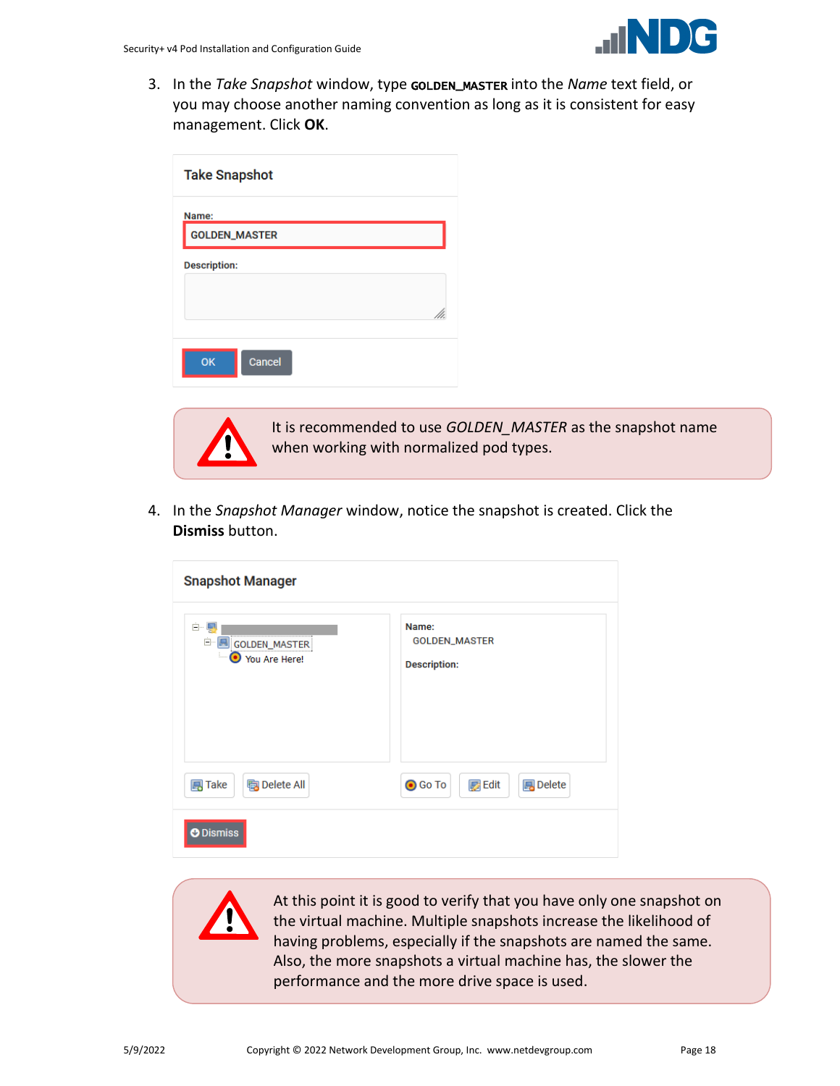

3. In the *Take Snapshot* window, type GOLDEN\_MASTER into the *Name* text field, or you may choose another naming convention as long as it is consistent for easy management. Click **OK**.

| <b>Take Snapshot</b>          |  |
|-------------------------------|--|
| Name:<br><b>GOLDEN_MASTER</b> |  |
| <b>Description:</b>           |  |
| Cancel<br>OK                  |  |



It is recommended to use *GOLDEN\_MASTER* as the snapshot name when working with normalized pod types.

4. In the *Snapshot Manager* window, notice the snapshot is created. Click the **Dismiss** button.

| <b>Snapshot Manager</b>                            |                                                    |
|----------------------------------------------------|----------------------------------------------------|
| Ė-Ę<br>Ē.<br>GOLDEN_MASTER<br>i<br>● You Are Here! | Name:<br>GOLDEN_MASTER<br><b>Description:</b>      |
| <b>陶</b> Delete All<br><b>国</b> Take               | <b>B</b> Delete<br><b>O</b> Go To<br><b>B</b> Edit |
| O Dismiss                                          |                                                    |

At this point it is good to verify that you have only one snapshot on the virtual machine. Multiple snapshots increase the likelihood of having problems, especially if the snapshots are named the same. Also, the more snapshots a virtual machine has, the slower the performance and the more drive space is used.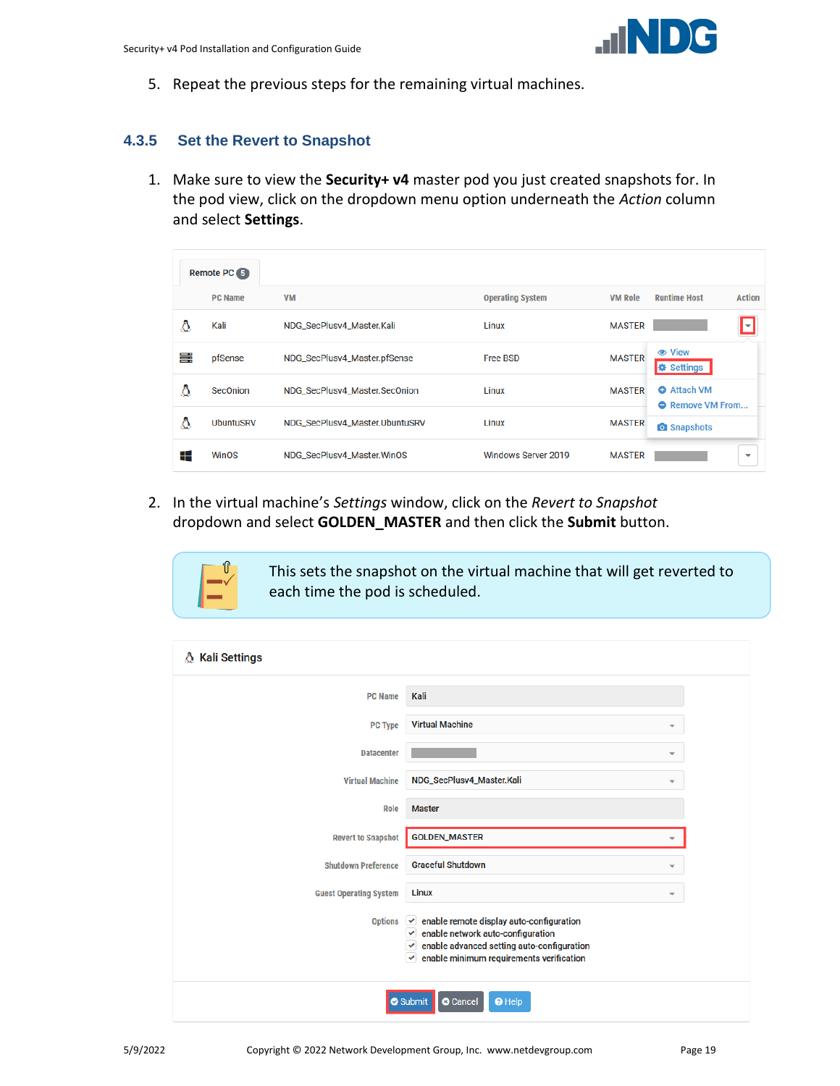5. Repeat the previous steps for the remaining virtual machines.

#### <span id="page-18-0"></span>**4.3.5 Set the Revert to Snapshot**

1. Make sure to view the **Security+ v4** master pod you just created snapshots for. In the pod view, click on the dropdown menu option underneath the *Action* column and select **Settings**.

|   | Remote PC 5      |                                |                         |                |                                               |
|---|------------------|--------------------------------|-------------------------|----------------|-----------------------------------------------|
|   | <b>PC Name</b>   | <b>VM</b>                      | <b>Operating System</b> | <b>VM Role</b> | <b>Runtime Host</b><br><b>Action</b>          |
| Δ | Kali             | NDG_SecPlusv4_Master.Kali      | Linux                   | <b>MASTER</b>  | M                                             |
| ≡ | pfSense          | NDG_SecPlusv4_Master.pfSense   | <b>Free BSD</b>         | <b>MASTER</b>  | <b> ⊙</b> View<br><b>₿</b> Settings           |
| Δ | <b>SecOnion</b>  | NDG_SecPlusv4_Master.SecOnion  | Linux                   | <b>MASTER</b>  | <b>O</b> Attach VM<br><b>O</b> Remove VM From |
| Δ | <b>UbuntuSRV</b> | NDG_SecPlusv4_Master.UbuntuSRV | Linux                   | <b>MASTER</b>  | <b>O</b> Snapshots                            |
| ⊞ | <b>WinOS</b>     | NDG_SecPlusv4_Master.WinOS     | Windows Server 2019     | <b>MASTER</b>  | $\overline{\phantom{a}}$                      |

2. In the virtual machine's *Settings* window, click on the *Revert to Snapshot* dropdown and select **GOLDEN\_MASTER** and then click the **Submit** button.

> This sets the snapshot on the virtual machine that will get reverted to each time the pod is scheduled.

| A Kali Settings               |                                                                                                                                                                                                   |
|-------------------------------|---------------------------------------------------------------------------------------------------------------------------------------------------------------------------------------------------|
| <b>PC Name</b>                | Kali                                                                                                                                                                                              |
| <b>PC Type</b>                | <b>Virtual Machine</b>                                                                                                                                                                            |
| <b>Datacenter</b>             | ▼                                                                                                                                                                                                 |
| <b>Virtual Machine</b>        | NDG_SecPlusv4_Master.Kali<br>٠                                                                                                                                                                    |
| Role                          | <b>Master</b>                                                                                                                                                                                     |
| <b>Revert to Snapshot</b>     | <b>GOLDEN_MASTER</b>                                                                                                                                                                              |
| <b>Shutdown Preference</b>    | <b>Graceful Shutdown</b><br>⇁                                                                                                                                                                     |
| <b>Guest Operating System</b> | Linux<br>▼                                                                                                                                                                                        |
| <b>Options</b>                | enable remote display auto-configuration<br>$\checkmark$<br>enable network auto-configuration<br>✓<br>enable advanced setting auto-configuration<br>enable minimum requirements verification<br>v |
|                               | Submit<br><sup>O</sup> Help<br><b>8</b> Cancel                                                                                                                                                    |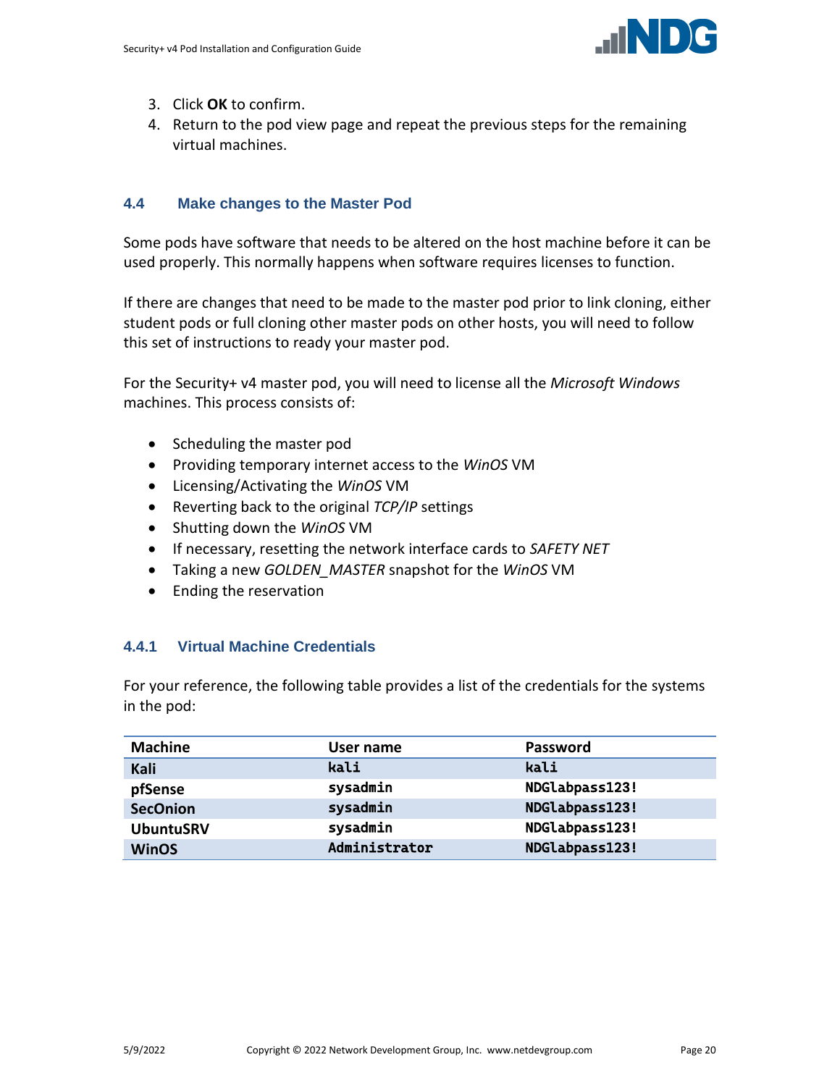

- 3. Click **OK** to confirm.
- 4. Return to the pod view page and repeat the previous steps for the remaining virtual machines.

#### <span id="page-19-0"></span>**4.4 Make changes to the Master Pod**

Some pods have software that needs to be altered on the host machine before it can be used properly. This normally happens when software requires licenses to function.

If there are changes that need to be made to the master pod prior to link cloning, either student pods or full cloning other master pods on other hosts, you will need to follow this set of instructions to ready your master pod.

For the Security+ v4 master pod, you will need to license all the *Microsoft Windows* machines. This process consists of:

- Scheduling the master pod
- Providing temporary internet access to the *WinOS* VM
- Licensing/Activating the *WinOS* VM
- Reverting back to the original *TCP/IP* settings
- Shutting down the *WinOS* VM
- If necessary, resetting the network interface cards to *SAFETY NET*
- Taking a new *GOLDEN\_MASTER* snapshot for the *WinOS* VM
- Ending the reservation

## <span id="page-19-1"></span>**4.4.1 Virtual Machine Credentials**

For your reference, the following table provides a list of the credentials for the systems in the pod:

| <b>Machine</b>   | User name     | <b>Password</b> |
|------------------|---------------|-----------------|
| Kali             | kali          | kali            |
| pfSense          | sysadmin      | NDGlabpass123!  |
| <b>SecOnion</b>  | sysadmin      | NDGlabpass123!  |
| <b>UbuntuSRV</b> | sysadmin      | NDGlabpass123!  |
| <b>WinOS</b>     | Administrator | NDGlabpass123!  |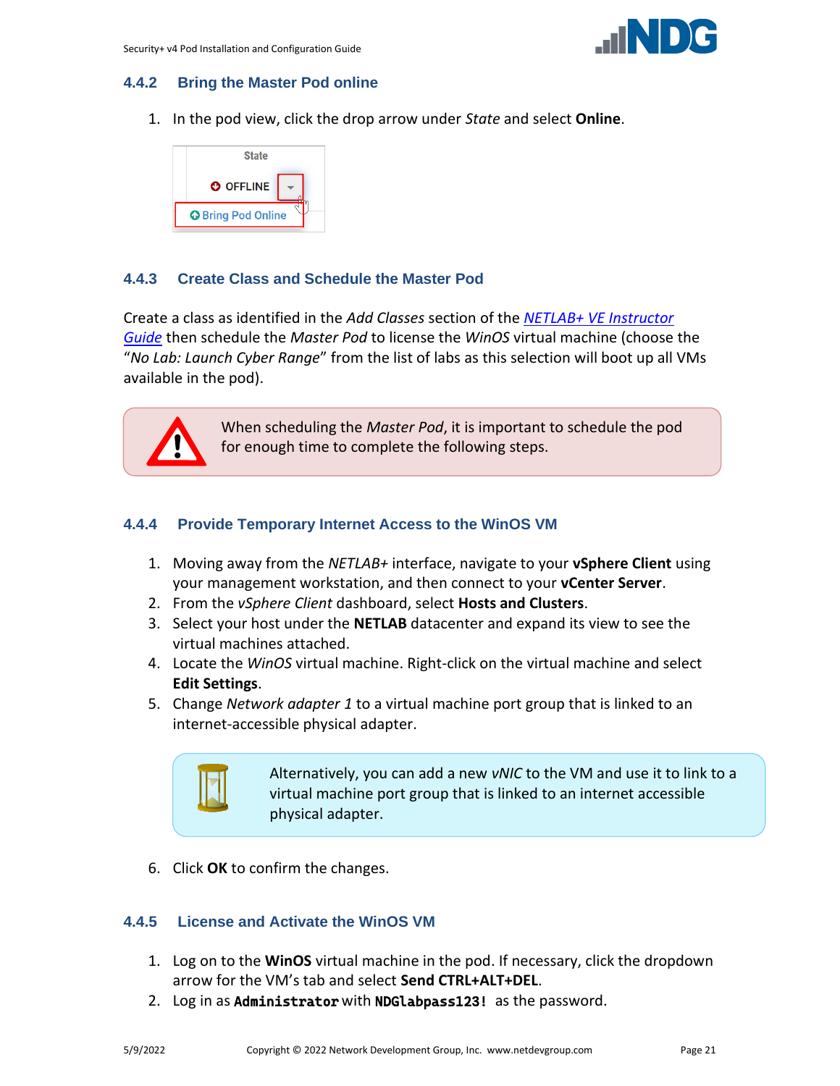

## <span id="page-20-0"></span>**4.4.2 Bring the Master Pod online**

1. In the pod view, click the drop arrow under *State* and select **Online**.



## <span id="page-20-1"></span>**4.4.3 Create Class and Schedule the Master Pod**

Create a class as identified in the *Add Classes* section of the *[NETLAB+ VE Instructor](https://www.netdevgroup.com/support/documentation/netlabve/netlabve_instructor_guide.pdf#nameddest=add_classes)  [Guide](https://www.netdevgroup.com/support/documentation/netlabve/netlabve_instructor_guide.pdf#nameddest=add_classes)* then schedule the *Master Pod* to license the *WinOS* virtual machine (choose the "*No Lab: Launch Cyber Range*" from the list of labs as this selection will boot up all VMs available in the pod).



When scheduling the *Master Pod*, it is important to schedule the pod for enough time to complete the following steps.

## <span id="page-20-2"></span>**4.4.4 Provide Temporary Internet Access to the WinOS VM**

- 1. Moving away from the *NETLAB+* interface, navigate to your **vSphere Client** using your management workstation, and then connect to your **vCenter Server**.
- 2. From the *vSphere Client* dashboard, select **Hosts and Clusters**.
- 3. Select your host under the **NETLAB** datacenter and expand its view to see the virtual machines attached.
- 4. Locate the *WinOS* virtual machine. Right-click on the virtual machine and select **Edit Settings**.
- 5. Change *Network adapter 1* to a virtual machine port group that is linked to an internet-accessible physical adapter.



Alternatively, you can add a new *vNIC* to the VM and use it to link to a virtual machine port group that is linked to an internet accessible physical adapter.

6. Click **OK** to confirm the changes.

## <span id="page-20-3"></span>**4.4.5 License and Activate the WinOS VM**

- 1. Log on to the **WinOS** virtual machine in the pod. If necessary, click the dropdown arrow for the VM's tab and select **Send CTRL+ALT+DEL**.
- 2. Log in as **Administrator** with **NDGlabpass123!** as the password.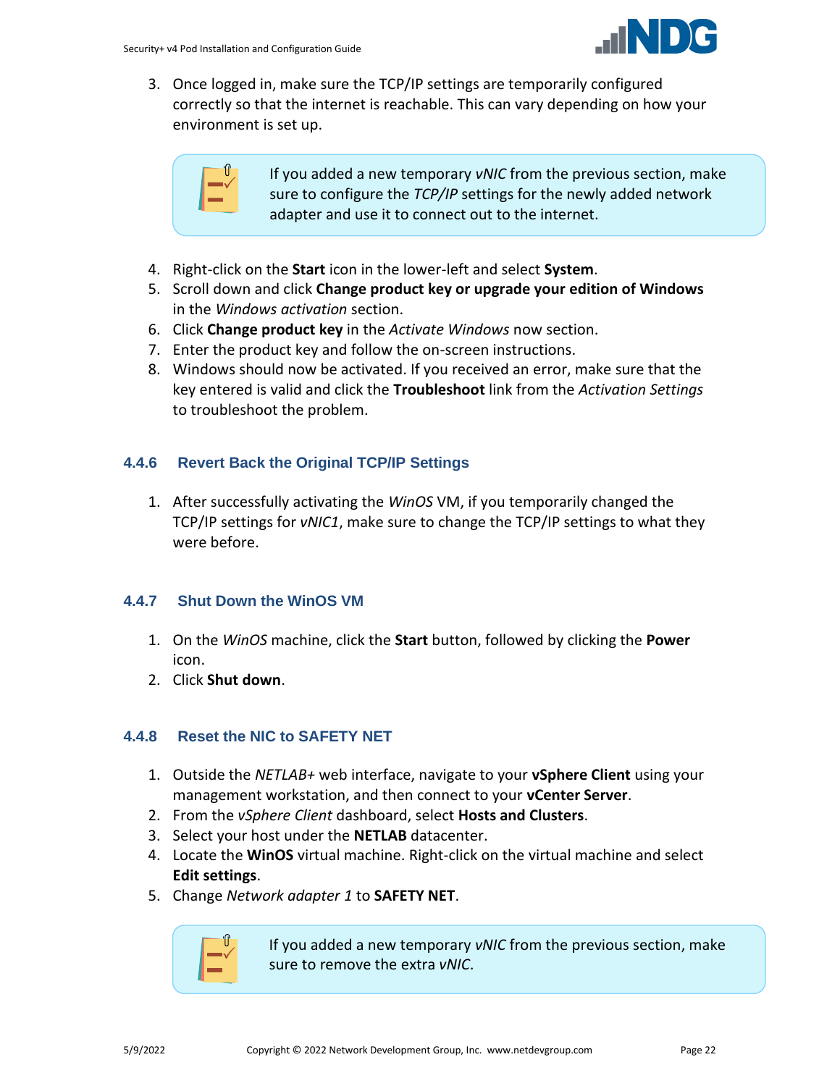

3. Once logged in, make sure the TCP/IP settings are temporarily configured correctly so that the internet is reachable. This can vary depending on how your environment is set up.



If you added a new temporary *vNIC* from the previous section, make sure to configure the *TCP/IP* settings for the newly added network adapter and use it to connect out to the internet.

- 4. Right-click on the **Start** icon in the lower-left and select **System**.
- 5. Scroll down and click **Change product key or upgrade your edition of Windows** in the *Windows activation* section.
- 6. Click **Change product key** in the *Activate Windows* now section.
- 7. Enter the product key and follow the on-screen instructions.
- 8. Windows should now be activated. If you received an error, make sure that the key entered is valid and click the **Troubleshoot** link from the *Activation Settings* to troubleshoot the problem.

## <span id="page-21-0"></span>**4.4.6 Revert Back the Original TCP/IP Settings**

1. After successfully activating the *WinOS* VM, if you temporarily changed the TCP/IP settings for *vNIC1*, make sure to change the TCP/IP settings to what they were before.

## <span id="page-21-1"></span>**4.4.7 Shut Down the WinOS VM**

- 1. On the *WinOS* machine, click the **Start** button, followed by clicking the **Power** icon.
- 2. Click **Shut down**.

## <span id="page-21-2"></span>**4.4.8 Reset the NIC to SAFETY NET**

- 1. Outside the *NETLAB+* web interface, navigate to your **vSphere Client** using your management workstation, and then connect to your **vCenter Server**.
- 2. From the *vSphere Client* dashboard, select **Hosts and Clusters**.
- 3. Select your host under the **NETLAB** datacenter.
- 4. Locate the **WinOS** virtual machine. Right-click on the virtual machine and select **Edit settings**.
- 5. Change *Network adapter 1* to **SAFETY NET**.



If you added a new temporary *vNIC* from the previous section, make sure to remove the extra *vNIC*.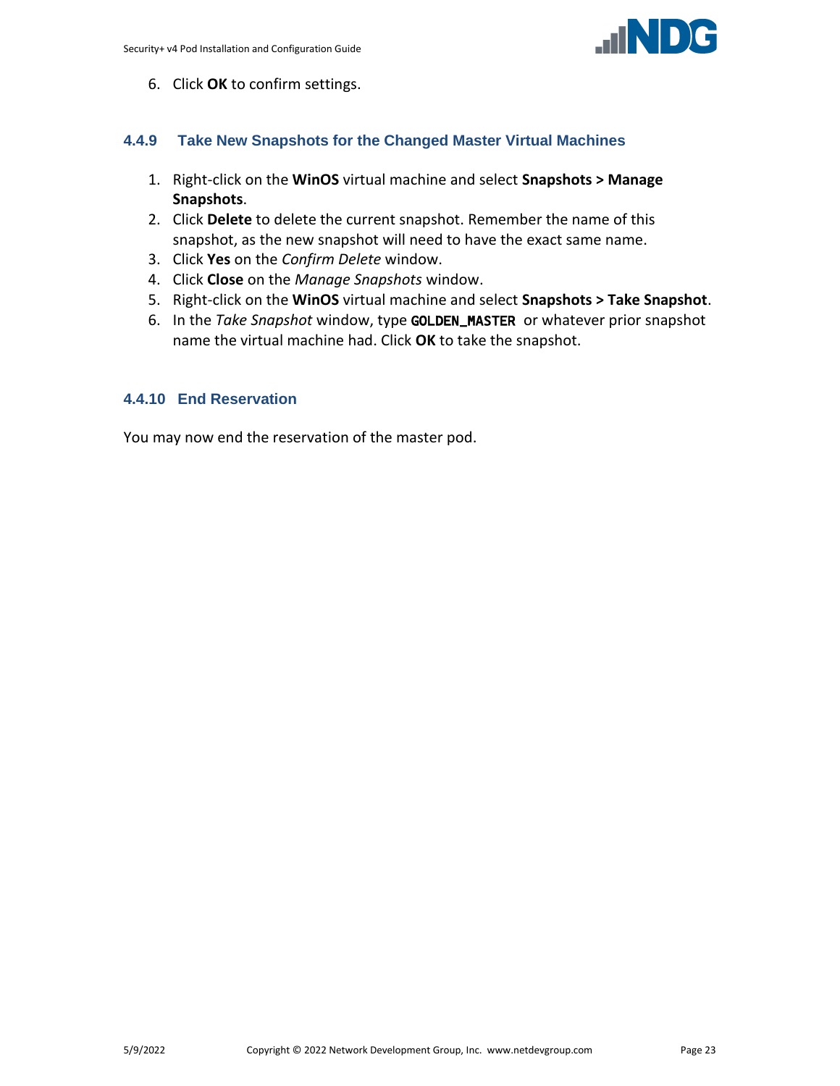

6. Click **OK** to confirm settings.

#### <span id="page-22-0"></span>**4.4.9 Take New Snapshots for the Changed Master Virtual Machines**

- 1. Right-click on the **WinOS** virtual machine and select **Snapshots > Manage Snapshots**.
- 2. Click **Delete** to delete the current snapshot. Remember the name of this snapshot, as the new snapshot will need to have the exact same name.
- 3. Click **Yes** on the *Confirm Delete* window.
- 4. Click **Close** on the *Manage Snapshots* window.
- 5. Right-click on the **WinOS** virtual machine and select **Snapshots > Take Snapshot**.
- 6. In the *Take Snapshot* window, type GOLDEN\_MASTER or whatever prior snapshot name the virtual machine had. Click **OK** to take the snapshot.

#### <span id="page-22-1"></span>**4.4.10 End Reservation**

You may now end the reservation of the master pod.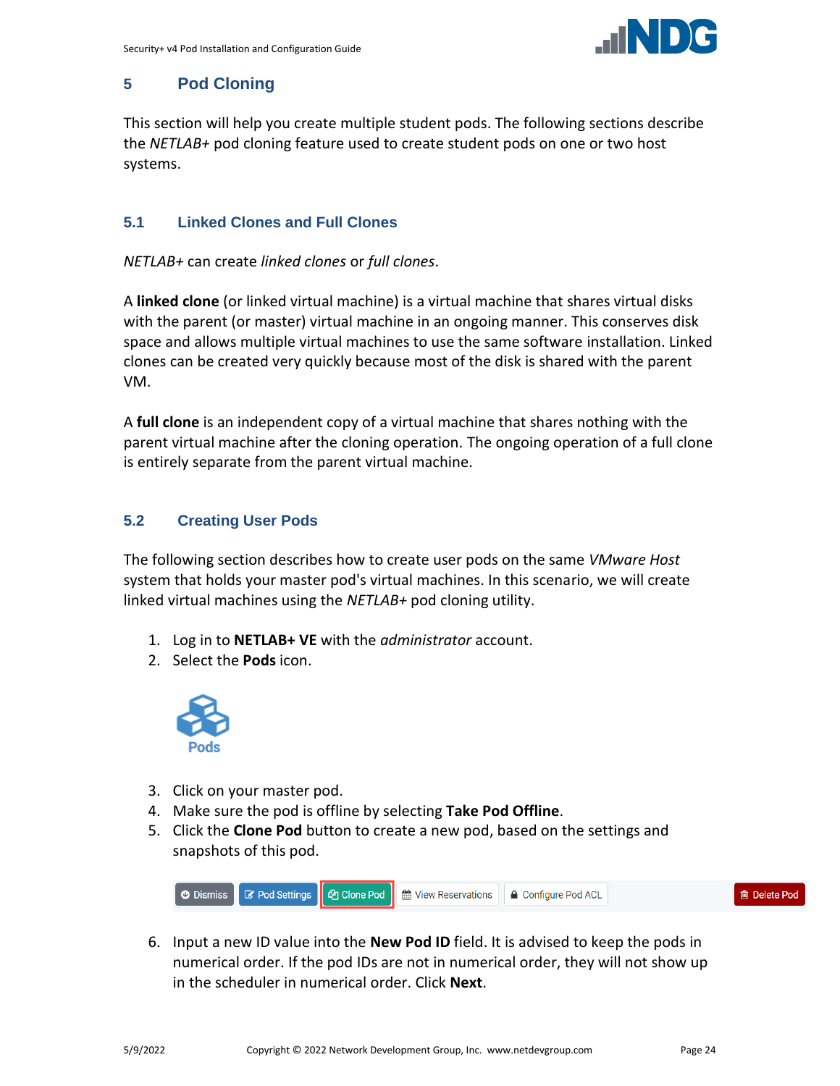

## <span id="page-23-0"></span>**5 Pod Cloning**

This section will help you create multiple student pods. The following sections describe the *NETLAB+* pod cloning feature used to create student pods on one or two host systems.

## <span id="page-23-1"></span>**5.1 Linked Clones and Full Clones**

*NETLAB+* can create *linked clones* or *full clones*.

A **linked clone** (or linked virtual machine) is a virtual machine that shares virtual disks with the parent (or master) virtual machine in an ongoing manner. This conserves disk space and allows multiple virtual machines to use the same software installation. Linked clones can be created very quickly because most of the disk is shared with the parent VM.

A **full clone** is an independent copy of a virtual machine that shares nothing with the parent virtual machine after the cloning operation. The ongoing operation of a full clone is entirely separate from the parent virtual machine.

## <span id="page-23-2"></span>**5.2 Creating User Pods**

The following section describes how to create user pods on the same *VMware Host* system that holds your master pod's virtual machines. In this scenario, we will create linked virtual machines using the *NETLAB+* pod cloning utility.

- 1. Log in to **NETLAB+ VE** with the *administrator* account.
- 2. Select the **Pods** icon.



- 3. Click on your master pod.
- 4. Make sure the pod is offline by selecting **Take Pod Offline**.
- 5. Click the **Clone Pod** button to create a new pod, based on the settings and snapshots of this pod.



6. Input a new ID value into the **New Pod ID** field. It is advised to keep the pods in numerical order. If the pod IDs are not in numerical order, they will not show up in the scheduler in numerical order. Click **Next**.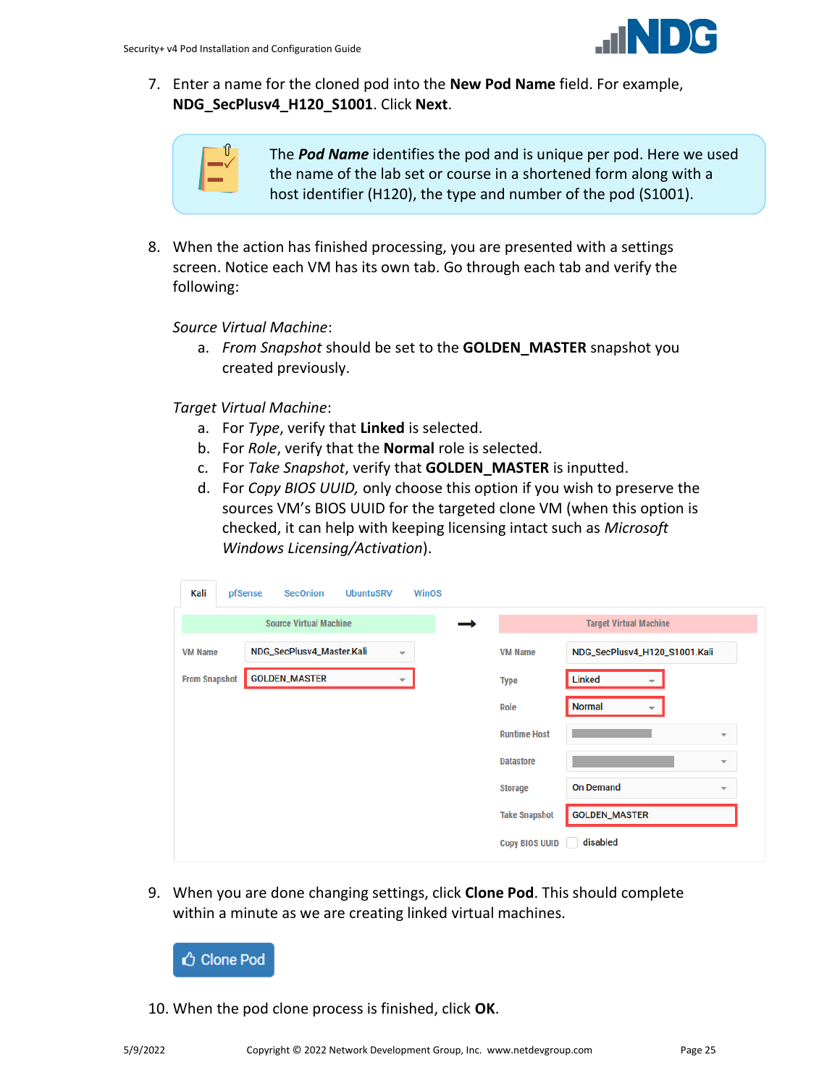

7. Enter a name for the cloned pod into the **New Pod Name** field. For example, **NDG\_SecPlusv4\_H120\_S1001**. Click **Next**.

| ◠<br>Т |
|--------|
|        |

The *Pod Name* identifies the pod and is unique per pod. Here we used the name of the lab set or course in a shortened form along with a host identifier (H120), the type and number of the pod (S1001).

8. When the action has finished processing, you are presented with a settings screen. Notice each VM has its own tab. Go through each tab and verify the following:

*Source Virtual Machine*:

a. *From Snapshot* should be set to the **GOLDEN\_MASTER** snapshot you created previously.

*Target Virtual Machine*:

- a. For *Type*, verify that **Linked** is selected.
- b. For *Role*, verify that the **Normal** role is selected.
- c. For *Take Snapshot*, verify that **GOLDEN\_MASTER** is inputted.
- d. For *Copy BIOS UUID,* only choose this option if you wish to preserve the sources VM's BIOS UUID for the targeted clone VM (when this option is checked, it can help with keeping licensing intact such as *Microsoft Windows Licensing/Activation*).

| pfSense                                                                 | <b>SecOnion</b>      |                      |   |                               |                       |                               |                          |  |  |
|-------------------------------------------------------------------------|----------------------|----------------------|---|-------------------------------|-----------------------|-------------------------------|--------------------------|--|--|
| <b>Source Virtual Machine</b>                                           |                      |                      |   |                               |                       | <b>Target Virtual Machine</b> |                          |  |  |
| NDG_SecPlusv4_Master.Kali<br><b>VM Name</b><br>$\overline{\phantom{a}}$ |                      |                      |   | NDG_SecPlusv4_H120_S1001.Kali |                       |                               |                          |  |  |
|                                                                         |                      |                      | ▼ |                               | <b>Type</b>           | <b>Linked</b>                 |                          |  |  |
|                                                                         |                      |                      |   |                               | Role                  | <b>Normal</b><br>÷            |                          |  |  |
|                                                                         |                      |                      |   |                               | <b>Runtime Host</b>   |                               | $\overline{\phantom{a}}$ |  |  |
|                                                                         |                      |                      |   |                               | <b>Datastore</b>      |                               | $\overline{\phantom{a}}$ |  |  |
|                                                                         |                      |                      |   |                               | <b>Storage</b>        | <b>On Demand</b>              | $\overline{\phantom{a}}$ |  |  |
|                                                                         |                      |                      |   |                               | <b>Take Snapshot</b>  | <b>GOLDEN_MASTER</b>          |                          |  |  |
|                                                                         |                      |                      |   |                               | <b>Copy BIOS UUID</b> | disabled                      |                          |  |  |
|                                                                         | <b>From Snapshot</b> | <b>GOLDEN_MASTER</b> |   | <b>UbuntuSRV</b>              | <b>WinOS</b>          | <b>VM Name</b>                |                          |  |  |

9. When you are done changing settings, click **Clone Pod**. This should complete within a minute as we are creating linked virtual machines.



10. When the pod clone process is finished, click **OK**.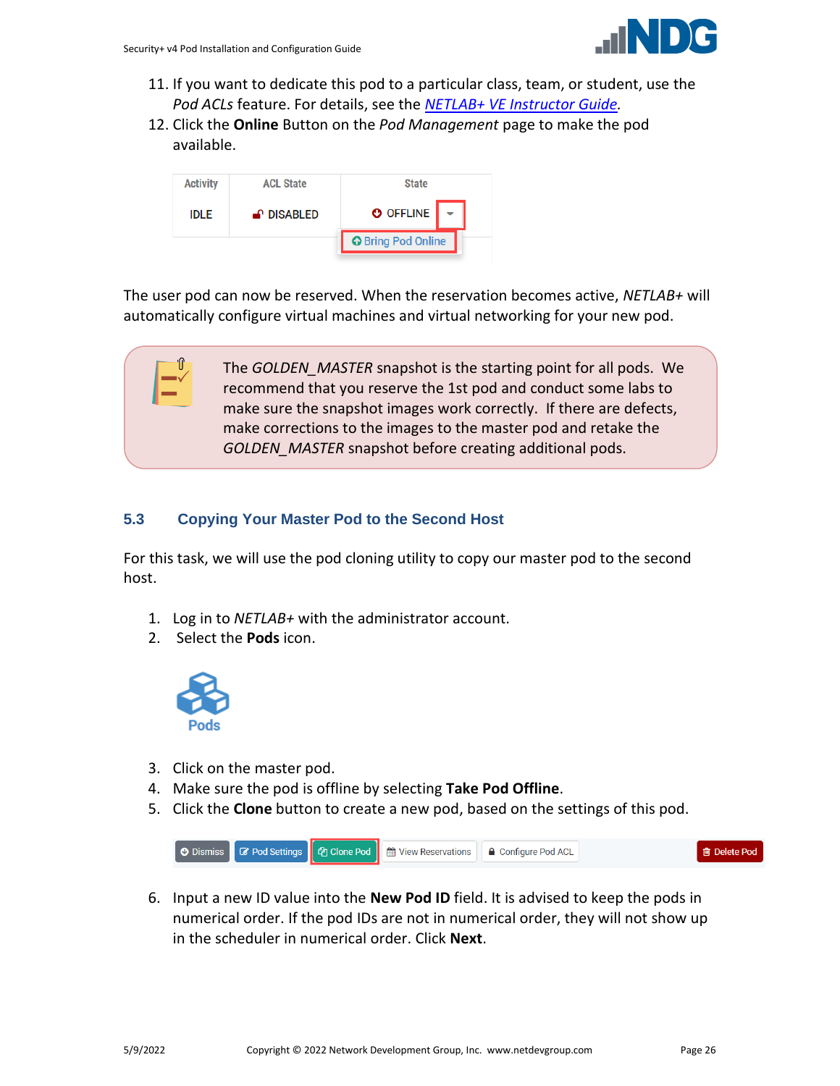

- 11. If you want to dedicate this pod to a particular class, team, or student, use the *Pod ACLs* feature. For details, see the *[NETLAB+ VE Instructor Guide.](http://www.netdevgroup.com/support/documentation/netlabve/netlabve_instructor_guide.pdf#nameddest=manage_pod_acls)*
- 12. Click the **Online** Button on the *Pod Management* page to make the pod available.



The user pod can now be reserved. When the reservation becomes active, *NETLAB+* will automatically configure virtual machines and virtual networking for your new pod.

> The *GOLDEN\_MASTER* snapshot is the starting point for all pods. We recommend that you reserve the 1st pod and conduct some labs to make sure the snapshot images work correctly. If there are defects, make corrections to the images to the master pod and retake the *GOLDEN\_MASTER* snapshot before creating additional pods.

## <span id="page-25-0"></span>**5.3 Copying Your Master Pod to the Second Host**

For this task, we will use the pod cloning utility to copy our master pod to the second host.

- 1. Log in to *NETLAB+* with the administrator account.
- 2. Select the **Pods** icon.



- 3. Click on the master pod.
- 4. Make sure the pod is offline by selecting **Take Pod Offline**.
- 5. Click the **Clone** button to create a new pod, based on the settings of this pod.



6. Input a new ID value into the **New Pod ID** field. It is advised to keep the pods in numerical order. If the pod IDs are not in numerical order, they will not show up in the scheduler in numerical order. Click **Next**.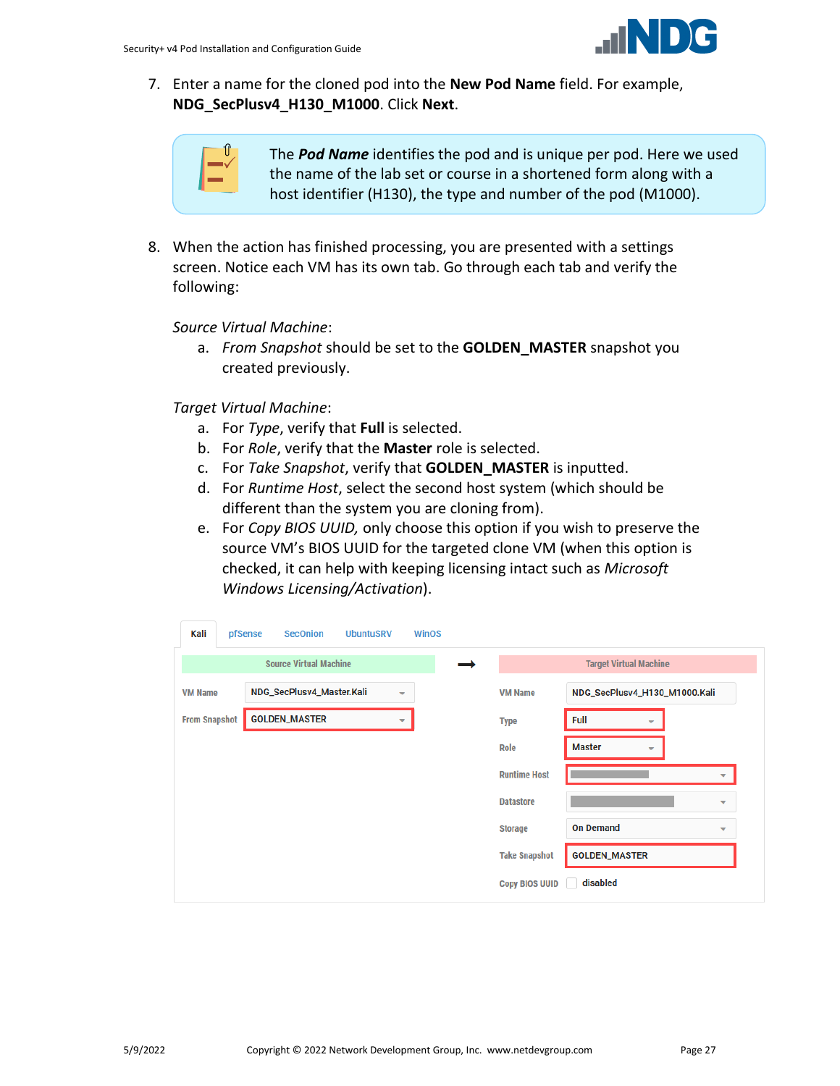

7. Enter a name for the cloned pod into the **New Pod Name** field. For example, **NDG\_SecPlusv4\_H130\_M1000**. Click **Next**.

| ۰ |
|---|
|   |

The *Pod Name* identifies the pod and is unique per pod. Here we used the name of the lab set or course in a shortened form along with a host identifier (H130), the type and number of the pod (M1000).

8. When the action has finished processing, you are presented with a settings screen. Notice each VM has its own tab. Go through each tab and verify the following:

*Source Virtual Machine*:

a. *From Snapshot* should be set to the **GOLDEN\_MASTER** snapshot you created previously.

*Target Virtual Machine*:

- a. For *Type*, verify that **Full** is selected.
- b. For *Role*, verify that the **Master** role is selected.
- c. For *Take Snapshot*, verify that **GOLDEN\_MASTER** is inputted.
- d. For *Runtime Host*, select the second host system (which should be different than the system you are cloning from).
- e. For *Copy BIOS UUID,* only choose this option if you wish to preserve the source VM's BIOS UUID for the targeted clone VM (when this option is checked, it can help with keeping licensing intact such as *Microsoft Windows Licensing/Activation*).

| Kali                          |  | pfSense                                               | <b>SecOnion</b>      | <b>UbuntuSRV</b> | <b>WinOS</b> |                      |                               |                                           |                          |  |
|-------------------------------|--|-------------------------------------------------------|----------------------|------------------|--------------|----------------------|-------------------------------|-------------------------------------------|--------------------------|--|
| <b>Source Virtual Machine</b> |  |                                                       |                      |                  |              |                      | <b>Target Virtual Machine</b> |                                           |                          |  |
| <b>VM Name</b>                |  | NDG_SecPlusv4_Master.Kali<br>$\overline{\phantom{a}}$ |                      |                  |              |                      | <b>VM Name</b>                | NDG_SecPlusv4_H130_M1000.Kali             |                          |  |
| <b>From Snapshot</b>          |  |                                                       | <b>GOLDEN_MASTER</b> |                  | ▼            |                      | <b>Type</b>                   | <b>Full</b><br>$\overline{\phantom{a}}$   |                          |  |
|                               |  |                                                       |                      |                  |              |                      | Role                          | <b>Master</b><br>$\overline{\phantom{a}}$ |                          |  |
|                               |  |                                                       |                      |                  |              |                      | <b>Runtime Host</b>           |                                           | $\overline{\phantom{a}}$ |  |
|                               |  |                                                       |                      |                  |              |                      | <b>Datastore</b>              |                                           | ۰                        |  |
|                               |  |                                                       |                      |                  |              |                      | <b>Storage</b>                | <b>On Demand</b>                          | $\overline{\phantom{a}}$ |  |
|                               |  |                                                       |                      |                  |              | <b>Take Snapshot</b> | <b>GOLDEN_MASTER</b>          |                                           |                          |  |
|                               |  |                                                       |                      |                  |              |                      | <b>Copy BIOS UUID</b>         | disabled                                  |                          |  |